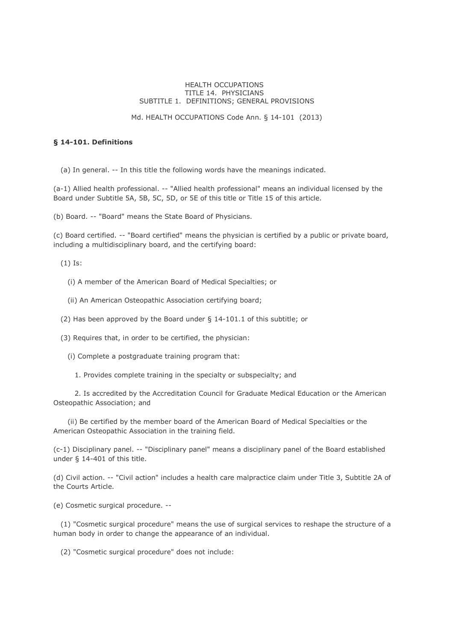#### HEALTH OCCUPATIONS TITLE 14. PHYSICIANS SUBTITLE 1. DEFINITIONS; GENERAL PROVISIONS

#### Md. HEALTH OCCUPATIONS Code Ann. § 14-101 (2013)

## **§ 14-101. Definitions**

(a) In general. -- In this title the following words have the meanings indicated.

(a-1) Allied health professional. -- "Allied health professional" means an individual licensed by the Board under Subtitle 5A, 5B, 5C, 5D, or 5E of this title or Title 15 of this article.

(b) Board. -- "Board" means the State Board of Physicians.

(c) Board certified. -- "Board certified" means the physician is certified by a public or private board, including a multidisciplinary board, and the certifying board:

(1) Is:

- (i) A member of the American Board of Medical Specialties; or
- (ii) An American Osteopathic Association certifying board;
- (2) Has been approved by the Board under § 14-101.1 of this subtitle; or
- (3) Requires that, in order to be certified, the physician:
	- (i) Complete a postgraduate training program that:
		- 1. Provides complete training in the specialty or subspecialty; and

 2. Is accredited by the Accreditation Council for Graduate Medical Education or the American Osteopathic Association; and

 (ii) Be certified by the member board of the American Board of Medical Specialties or the American Osteopathic Association in the training field.

(c-1) Disciplinary panel. -- "Disciplinary panel" means a disciplinary panel of the Board established under § 14-401 of this title.

(d) Civil action. -- "Civil action" includes a health care malpractice claim under Title 3, Subtitle 2A of the Courts Article.

(e) Cosmetic surgical procedure. --

 (1) "Cosmetic surgical procedure" means the use of surgical services to reshape the structure of a human body in order to change the appearance of an individual.

(2) "Cosmetic surgical procedure" does not include: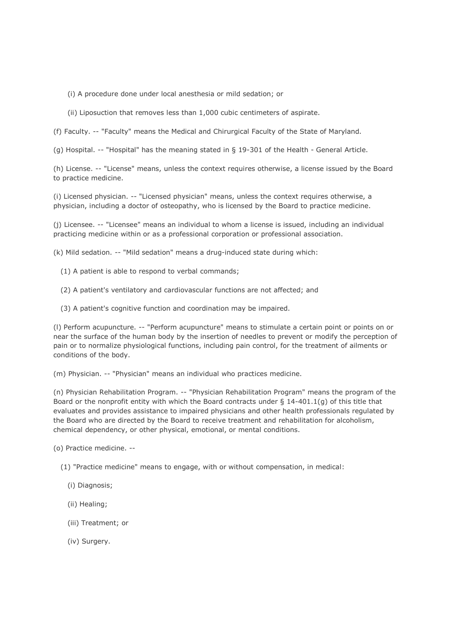(i) A procedure done under local anesthesia or mild sedation; or

(ii) Liposuction that removes less than 1,000 cubic centimeters of aspirate.

(f) Faculty. -- "Faculty" means the Medical and Chirurgical Faculty of the State of Maryland.

(g) Hospital. -- "Hospital" has the meaning stated in § 19-301 of the Health - General Article.

(h) License. -- "License" means, unless the context requires otherwise, a license issued by the Board to practice medicine.

(i) Licensed physician. -- "Licensed physician" means, unless the context requires otherwise, a physician, including a doctor of osteopathy, who is licensed by the Board to practice medicine.

(j) Licensee. -- "Licensee" means an individual to whom a license is issued, including an individual practicing medicine within or as a professional corporation or professional association.

(k) Mild sedation. -- "Mild sedation" means a drug-induced state during which:

- (1) A patient is able to respond to verbal commands;
- (2) A patient's ventilatory and cardiovascular functions are not affected; and
- (3) A patient's cognitive function and coordination may be impaired.

(l) Perform acupuncture. -- "Perform acupuncture" means to stimulate a certain point or points on or near the surface of the human body by the insertion of needles to prevent or modify the perception of pain or to normalize physiological functions, including pain control, for the treatment of ailments or conditions of the body.

(m) Physician. -- "Physician" means an individual who practices medicine.

(n) Physician Rehabilitation Program. -- "Physician Rehabilitation Program" means the program of the Board or the nonprofit entity with which the Board contracts under  $\S$  14-401.1(q) of this title that evaluates and provides assistance to impaired physicians and other health professionals regulated by the Board who are directed by the Board to receive treatment and rehabilitation for alcoholism, chemical dependency, or other physical, emotional, or mental conditions.

(o) Practice medicine. --

- (1) "Practice medicine" means to engage, with or without compensation, in medical:
	- (i) Diagnosis;
	- (ii) Healing;
	- (iii) Treatment; or
	- (iv) Surgery.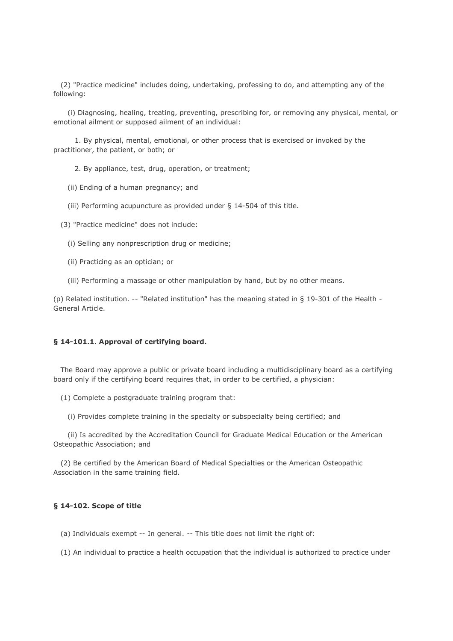(2) "Practice medicine" includes doing, undertaking, professing to do, and attempting any of the following:

 (i) Diagnosing, healing, treating, preventing, prescribing for, or removing any physical, mental, or emotional ailment or supposed ailment of an individual:

 1. By physical, mental, emotional, or other process that is exercised or invoked by the practitioner, the patient, or both; or

2. By appliance, test, drug, operation, or treatment;

(ii) Ending of a human pregnancy; and

(iii) Performing acupuncture as provided under § 14-504 of this title.

(3) "Practice medicine" does not include:

(i) Selling any nonprescription drug or medicine;

(ii) Practicing as an optician; or

(iii) Performing a massage or other manipulation by hand, but by no other means.

(p) Related institution. -- "Related institution" has the meaning stated in § 19-301 of the Health - General Article.

#### **§ 14-101.1. Approval of certifying board.**

 The Board may approve a public or private board including a multidisciplinary board as a certifying board only if the certifying board requires that, in order to be certified, a physician:

(1) Complete a postgraduate training program that:

(i) Provides complete training in the specialty or subspecialty being certified; and

 (ii) Is accredited by the Accreditation Council for Graduate Medical Education or the American Osteopathic Association; and

 (2) Be certified by the American Board of Medical Specialties or the American Osteopathic Association in the same training field.

## **§ 14-102. Scope of title**

(a) Individuals exempt -- In general. -- This title does not limit the right of:

(1) An individual to practice a health occupation that the individual is authorized to practice under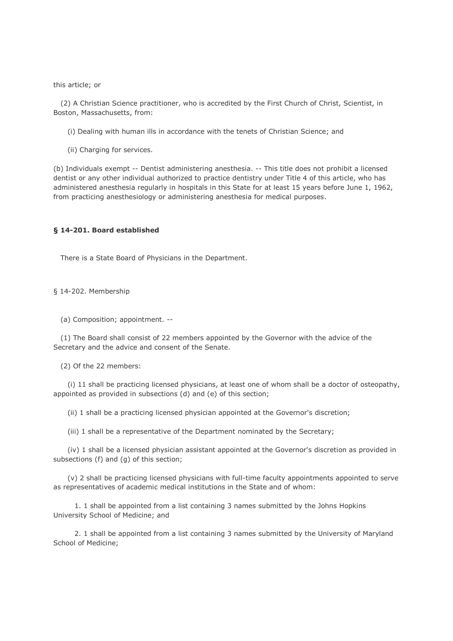this article; or

 (2) A Christian Science practitioner, who is accredited by the First Church of Christ, Scientist, in Boston, Massachusetts, from:

(i) Dealing with human ills in accordance with the tenets of Christian Science; and

(ii) Charging for services.

(b) Individuals exempt -- Dentist administering anesthesia. -- This title does not prohibit a licensed dentist or any other individual authorized to practice dentistry under Title 4 of this article, who has administered anesthesia regularly in hospitals in this State for at least 15 years before June 1, 1962, from practicing anesthesiology or administering anesthesia for medical purposes.

## **§ 14-201. Board established**

There is a State Board of Physicians in the Department.

§ 14-202. Membership

(a) Composition; appointment. --

 (1) The Board shall consist of 22 members appointed by the Governor with the advice of the Secretary and the advice and consent of the Senate.

(2) Of the 22 members:

 (i) 11 shall be practicing licensed physicians, at least one of whom shall be a doctor of osteopathy, appointed as provided in subsections (d) and (e) of this section;

(ii) 1 shall be a practicing licensed physician appointed at the Governor's discretion;

(iii) 1 shall be a representative of the Department nominated by the Secretary;

 (iv) 1 shall be a licensed physician assistant appointed at the Governor's discretion as provided in subsections (f) and (g) of this section;

 (v) 2 shall be practicing licensed physicians with full-time faculty appointments appointed to serve as representatives of academic medical institutions in the State and of whom:

 1. 1 shall be appointed from a list containing 3 names submitted by the Johns Hopkins University School of Medicine; and

 2. 1 shall be appointed from a list containing 3 names submitted by the University of Maryland School of Medicine;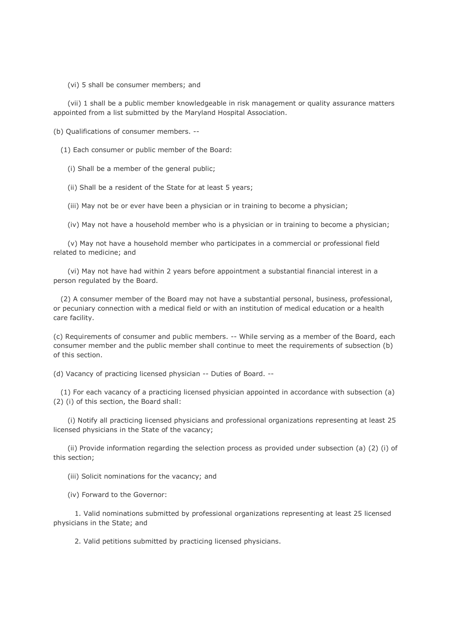(vi) 5 shall be consumer members; and

 (vii) 1 shall be a public member knowledgeable in risk management or quality assurance matters appointed from a list submitted by the Maryland Hospital Association.

(b) Qualifications of consumer members. --

(1) Each consumer or public member of the Board:

(i) Shall be a member of the general public;

(ii) Shall be a resident of the State for at least 5 years;

(iii) May not be or ever have been a physician or in training to become a physician;

(iv) May not have a household member who is a physician or in training to become a physician;

 (v) May not have a household member who participates in a commercial or professional field related to medicine; and

 (vi) May not have had within 2 years before appointment a substantial financial interest in a person regulated by the Board.

 (2) A consumer member of the Board may not have a substantial personal, business, professional, or pecuniary connection with a medical field or with an institution of medical education or a health care facility.

(c) Requirements of consumer and public members. -- While serving as a member of the Board, each consumer member and the public member shall continue to meet the requirements of subsection (b) of this section.

(d) Vacancy of practicing licensed physician -- Duties of Board. --

 (1) For each vacancy of a practicing licensed physician appointed in accordance with subsection (a) (2) (i) of this section, the Board shall:

 (i) Notify all practicing licensed physicians and professional organizations representing at least 25 licensed physicians in the State of the vacancy;

 (ii) Provide information regarding the selection process as provided under subsection (a) (2) (i) of this section;

(iii) Solicit nominations for the vacancy; and

(iv) Forward to the Governor:

 1. Valid nominations submitted by professional organizations representing at least 25 licensed physicians in the State; and

2. Valid petitions submitted by practicing licensed physicians.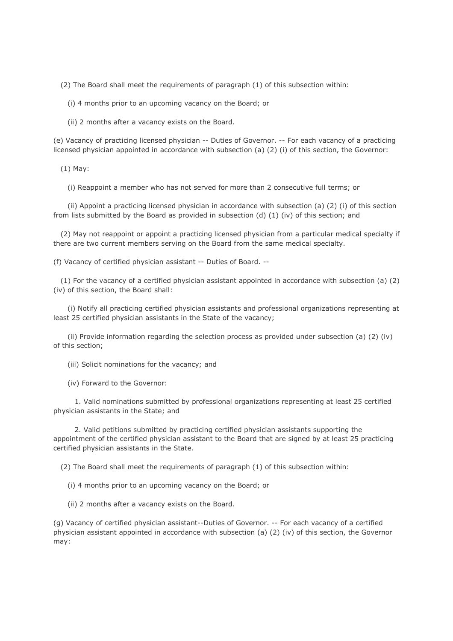(2) The Board shall meet the requirements of paragraph (1) of this subsection within:

(i) 4 months prior to an upcoming vacancy on the Board; or

(ii) 2 months after a vacancy exists on the Board.

(e) Vacancy of practicing licensed physician -- Duties of Governor. -- For each vacancy of a practicing licensed physician appointed in accordance with subsection (a) (2) (i) of this section, the Governor:

(1) May:

(i) Reappoint a member who has not served for more than 2 consecutive full terms; or

 (ii) Appoint a practicing licensed physician in accordance with subsection (a) (2) (i) of this section from lists submitted by the Board as provided in subsection (d) (1) (iv) of this section; and

 (2) May not reappoint or appoint a practicing licensed physician from a particular medical specialty if there are two current members serving on the Board from the same medical specialty.

(f) Vacancy of certified physician assistant -- Duties of Board. --

 (1) For the vacancy of a certified physician assistant appointed in accordance with subsection (a) (2) (iv) of this section, the Board shall:

 (i) Notify all practicing certified physician assistants and professional organizations representing at least 25 certified physician assistants in the State of the vacancy;

 (ii) Provide information regarding the selection process as provided under subsection (a) (2) (iv) of this section;

(iii) Solicit nominations for the vacancy; and

(iv) Forward to the Governor:

 1. Valid nominations submitted by professional organizations representing at least 25 certified physician assistants in the State; and

 2. Valid petitions submitted by practicing certified physician assistants supporting the appointment of the certified physician assistant to the Board that are signed by at least 25 practicing certified physician assistants in the State.

(2) The Board shall meet the requirements of paragraph (1) of this subsection within:

(i) 4 months prior to an upcoming vacancy on the Board; or

(ii) 2 months after a vacancy exists on the Board.

(g) Vacancy of certified physician assistant--Duties of Governor. -- For each vacancy of a certified physician assistant appointed in accordance with subsection (a) (2) (iv) of this section, the Governor may: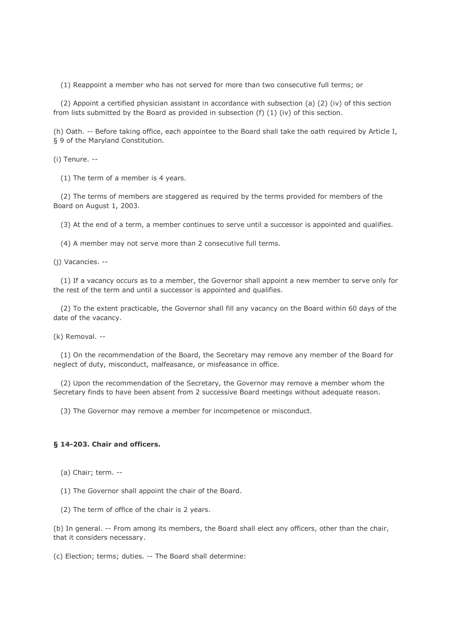(1) Reappoint a member who has not served for more than two consecutive full terms; or

 (2) Appoint a certified physician assistant in accordance with subsection (a) (2) (iv) of this section from lists submitted by the Board as provided in subsection (f) (1) (iv) of this section.

(h) Oath. -- Before taking office, each appointee to the Board shall take the oath required by Article I, § 9 of the Maryland Constitution.

(i) Tenure. --

(1) The term of a member is 4 years.

 (2) The terms of members are staggered as required by the terms provided for members of the Board on August 1, 2003.

(3) At the end of a term, a member continues to serve until a successor is appointed and qualifies.

(4) A member may not serve more than 2 consecutive full terms.

(j) Vacancies. --

 (1) If a vacancy occurs as to a member, the Governor shall appoint a new member to serve only for the rest of the term and until a successor is appointed and qualifies.

 (2) To the extent practicable, the Governor shall fill any vacancy on the Board within 60 days of the date of the vacancy.

(k) Removal. --

 (1) On the recommendation of the Board, the Secretary may remove any member of the Board for neglect of duty, misconduct, malfeasance, or misfeasance in office.

 (2) Upon the recommendation of the Secretary, the Governor may remove a member whom the Secretary finds to have been absent from 2 successive Board meetings without adequate reason.

(3) The Governor may remove a member for incompetence or misconduct.

## **§ 14-203. Chair and officers.**

(a) Chair; term. --

(1) The Governor shall appoint the chair of the Board.

(2) The term of office of the chair is 2 years.

(b) In general. -- From among its members, the Board shall elect any officers, other than the chair, that it considers necessary.

(c) Election; terms; duties. -- The Board shall determine: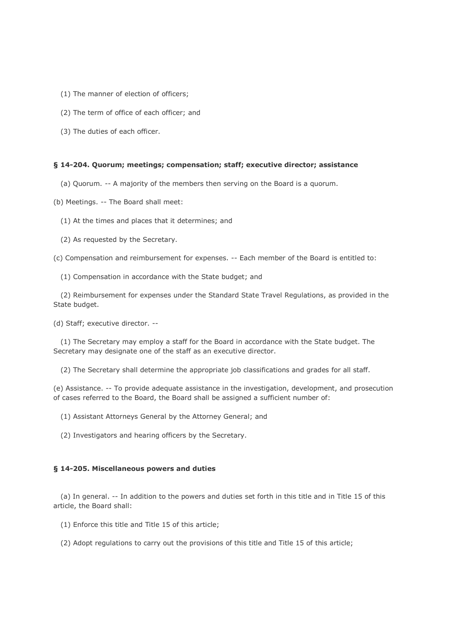- (1) The manner of election of officers;
- (2) The term of office of each officer; and
- (3) The duties of each officer.

### **§ 14-204. Quorum; meetings; compensation; staff; executive director; assistance**

- (a) Quorum. -- A majority of the members then serving on the Board is a quorum.
- (b) Meetings. -- The Board shall meet:
	- (1) At the times and places that it determines; and
	- (2) As requested by the Secretary.

(c) Compensation and reimbursement for expenses. -- Each member of the Board is entitled to:

(1) Compensation in accordance with the State budget; and

 (2) Reimbursement for expenses under the Standard State Travel Regulations, as provided in the State budget.

(d) Staff; executive director. --

 (1) The Secretary may employ a staff for the Board in accordance with the State budget. The Secretary may designate one of the staff as an executive director.

(2) The Secretary shall determine the appropriate job classifications and grades for all staff.

(e) Assistance. -- To provide adequate assistance in the investigation, development, and prosecution of cases referred to the Board, the Board shall be assigned a sufficient number of:

- (1) Assistant Attorneys General by the Attorney General; and
- (2) Investigators and hearing officers by the Secretary.

### **§ 14-205. Miscellaneous powers and duties**

 (a) In general. -- In addition to the powers and duties set forth in this title and in Title 15 of this article, the Board shall:

(1) Enforce this title and Title 15 of this article;

(2) Adopt regulations to carry out the provisions of this title and Title 15 of this article;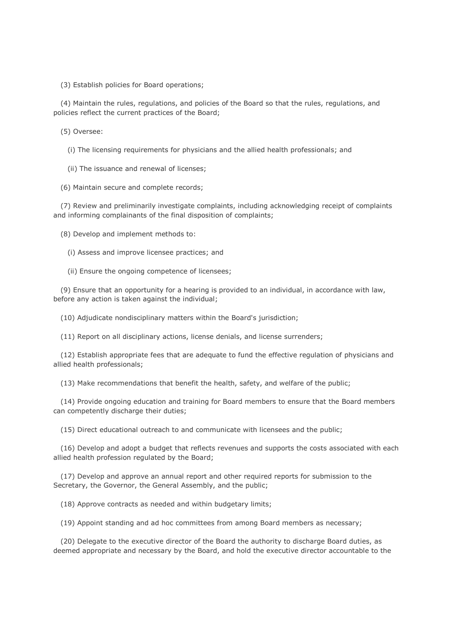(3) Establish policies for Board operations;

 (4) Maintain the rules, regulations, and policies of the Board so that the rules, regulations, and policies reflect the current practices of the Board;

(5) Oversee:

(i) The licensing requirements for physicians and the allied health professionals; and

(ii) The issuance and renewal of licenses;

(6) Maintain secure and complete records;

 (7) Review and preliminarily investigate complaints, including acknowledging receipt of complaints and informing complainants of the final disposition of complaints;

(8) Develop and implement methods to:

(i) Assess and improve licensee practices; and

(ii) Ensure the ongoing competence of licensees;

 (9) Ensure that an opportunity for a hearing is provided to an individual, in accordance with law, before any action is taken against the individual;

(10) Adjudicate nondisciplinary matters within the Board's jurisdiction;

(11) Report on all disciplinary actions, license denials, and license surrenders;

 (12) Establish appropriate fees that are adequate to fund the effective regulation of physicians and allied health professionals;

(13) Make recommendations that benefit the health, safety, and welfare of the public;

 (14) Provide ongoing education and training for Board members to ensure that the Board members can competently discharge their duties;

(15) Direct educational outreach to and communicate with licensees and the public;

 (16) Develop and adopt a budget that reflects revenues and supports the costs associated with each allied health profession regulated by the Board;

 (17) Develop and approve an annual report and other required reports for submission to the Secretary, the Governor, the General Assembly, and the public;

(18) Approve contracts as needed and within budgetary limits;

(19) Appoint standing and ad hoc committees from among Board members as necessary;

 (20) Delegate to the executive director of the Board the authority to discharge Board duties, as deemed appropriate and necessary by the Board, and hold the executive director accountable to the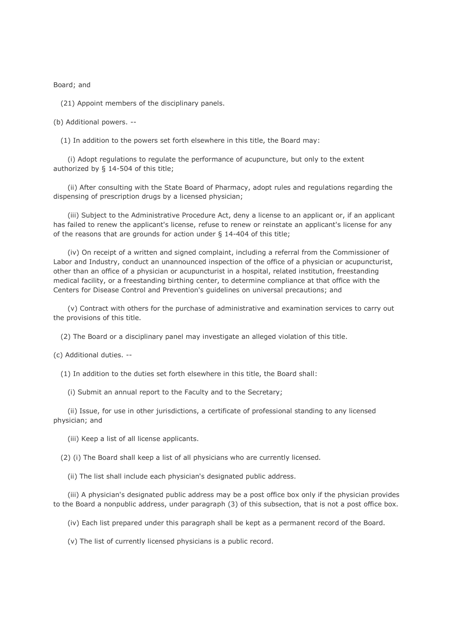Board; and

(21) Appoint members of the disciplinary panels.

(b) Additional powers. --

(1) In addition to the powers set forth elsewhere in this title, the Board may:

 (i) Adopt regulations to regulate the performance of acupuncture, but only to the extent authorized by § 14-504 of this title;

 (ii) After consulting with the State Board of Pharmacy, adopt rules and regulations regarding the dispensing of prescription drugs by a licensed physician;

 (iii) Subject to the Administrative Procedure Act, deny a license to an applicant or, if an applicant has failed to renew the applicant's license, refuse to renew or reinstate an applicant's license for any of the reasons that are grounds for action under § 14-404 of this title;

 (iv) On receipt of a written and signed complaint, including a referral from the Commissioner of Labor and Industry, conduct an unannounced inspection of the office of a physician or acupuncturist, other than an office of a physician or acupuncturist in a hospital, related institution, freestanding medical facility, or a freestanding birthing center, to determine compliance at that office with the Centers for Disease Control and Prevention's guidelines on universal precautions; and

 (v) Contract with others for the purchase of administrative and examination services to carry out the provisions of this title.

(2) The Board or a disciplinary panel may investigate an alleged violation of this title.

(c) Additional duties. --

(1) In addition to the duties set forth elsewhere in this title, the Board shall:

(i) Submit an annual report to the Faculty and to the Secretary;

 (ii) Issue, for use in other jurisdictions, a certificate of professional standing to any licensed physician; and

(iii) Keep a list of all license applicants.

(2) (i) The Board shall keep a list of all physicians who are currently licensed.

(ii) The list shall include each physician's designated public address.

 (iii) A physician's designated public address may be a post office box only if the physician provides to the Board a nonpublic address, under paragraph (3) of this subsection, that is not a post office box.

(iv) Each list prepared under this paragraph shall be kept as a permanent record of the Board.

(v) The list of currently licensed physicians is a public record.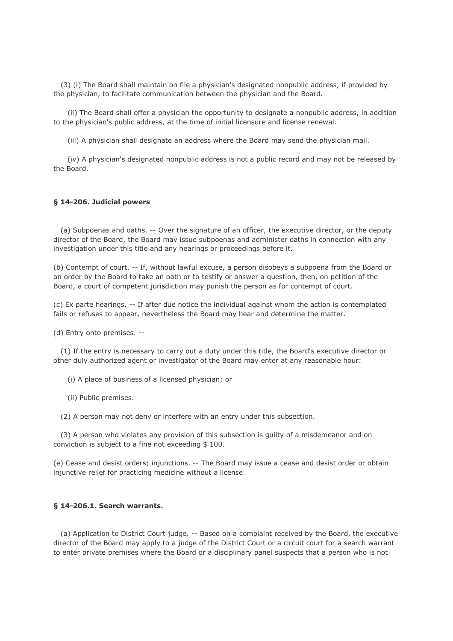(3) (i) The Board shall maintain on file a physician's designated nonpublic address, if provided by the physician, to facilitate communication between the physician and the Board.

 (ii) The Board shall offer a physician the opportunity to designate a nonpublic address, in addition to the physician's public address, at the time of initial licensure and license renewal.

(iii) A physician shall designate an address where the Board may send the physician mail.

 (iv) A physician's designated nonpublic address is not a public record and may not be released by the Board.

#### **§ 14-206. Judicial powers**

 (a) Subpoenas and oaths. -- Over the signature of an officer, the executive director, or the deputy director of the Board, the Board may issue subpoenas and administer oaths in connection with any investigation under this title and any hearings or proceedings before it.

(b) Contempt of court. -- If, without lawful excuse, a person disobeys a subpoena from the Board or an order by the Board to take an oath or to testify or answer a question, then, on petition of the Board, a court of competent jurisdiction may punish the person as for contempt of court.

(c) Ex parte hearings. -- If after due notice the individual against whom the action is contemplated fails or refuses to appear, nevertheless the Board may hear and determine the matter.

(d) Entry onto premises. --

 (1) If the entry is necessary to carry out a duty under this title, the Board's executive director or other duly authorized agent or investigator of the Board may enter at any reasonable hour:

(i) A place of business of a licensed physician; or

(ii) Public premises.

(2) A person may not deny or interfere with an entry under this subsection.

 (3) A person who violates any provision of this subsection is guilty of a misdemeanor and on conviction is subject to a fine not exceeding \$ 100.

(e) Cease and desist orders; injunctions. -- The Board may issue a cease and desist order or obtain injunctive relief for practicing medicine without a license.

## **§ 14-206.1. Search warrants.**

 (a) Application to District Court judge. -- Based on a complaint received by the Board, the executive director of the Board may apply to a judge of the District Court or a circuit court for a search warrant to enter private premises where the Board or a disciplinary panel suspects that a person who is not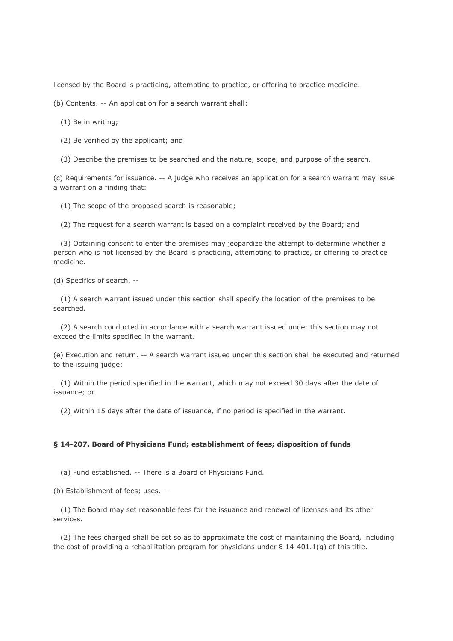licensed by the Board is practicing, attempting to practice, or offering to practice medicine.

(b) Contents. -- An application for a search warrant shall:

(1) Be in writing;

(2) Be verified by the applicant; and

(3) Describe the premises to be searched and the nature, scope, and purpose of the search.

(c) Requirements for issuance. -- A judge who receives an application for a search warrant may issue a warrant on a finding that:

(1) The scope of the proposed search is reasonable;

(2) The request for a search warrant is based on a complaint received by the Board; and

 (3) Obtaining consent to enter the premises may jeopardize the attempt to determine whether a person who is not licensed by the Board is practicing, attempting to practice, or offering to practice medicine.

(d) Specifics of search. --

 (1) A search warrant issued under this section shall specify the location of the premises to be searched.

 (2) A search conducted in accordance with a search warrant issued under this section may not exceed the limits specified in the warrant.

(e) Execution and return. -- A search warrant issued under this section shall be executed and returned to the issuing judge:

 (1) Within the period specified in the warrant, which may not exceed 30 days after the date of issuance; or

(2) Within 15 days after the date of issuance, if no period is specified in the warrant.

## **§ 14-207. Board of Physicians Fund; establishment of fees; disposition of funds**

(a) Fund established. -- There is a Board of Physicians Fund.

(b) Establishment of fees; uses. --

 (1) The Board may set reasonable fees for the issuance and renewal of licenses and its other services.

 (2) The fees charged shall be set so as to approximate the cost of maintaining the Board, including the cost of providing a rehabilitation program for physicians under  $\S$  14-401.1(q) of this title.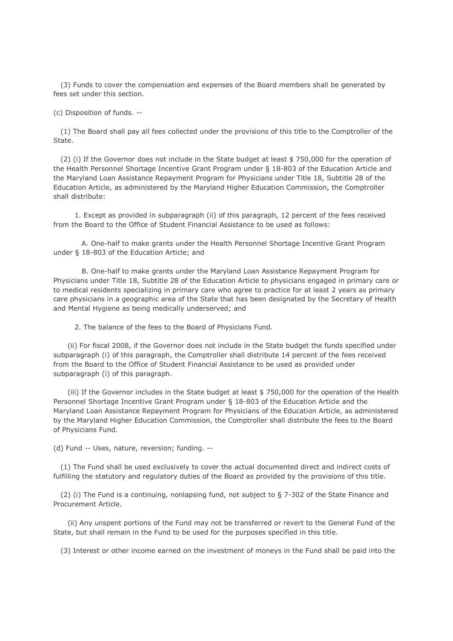(3) Funds to cover the compensation and expenses of the Board members shall be generated by fees set under this section.

(c) Disposition of funds. --

 (1) The Board shall pay all fees collected under the provisions of this title to the Comptroller of the State.

 (2) (i) If the Governor does not include in the State budget at least \$ 750,000 for the operation of the Health Personnel Shortage Incentive Grant Program under § 18-803 of the Education Article and the Maryland Loan Assistance Repayment Program for Physicians under Title 18, Subtitle 28 of the Education Article, as administered by the Maryland Higher Education Commission, the Comptroller shall distribute:

 1. Except as provided in subparagraph (ii) of this paragraph, 12 percent of the fees received from the Board to the Office of Student Financial Assistance to be used as follows:

 A. One-half to make grants under the Health Personnel Shortage Incentive Grant Program under § 18-803 of the Education Article; and

 B. One-half to make grants under the Maryland Loan Assistance Repayment Program for Physicians under Title 18, Subtitle 28 of the Education Article to physicians engaged in primary care or to medical residents specializing in primary care who agree to practice for at least 2 years as primary care physicians in a geographic area of the State that has been designated by the Secretary of Health and Mental Hygiene as being medically underserved; and

2. The balance of the fees to the Board of Physicians Fund.

 (ii) For fiscal 2008, if the Governor does not include in the State budget the funds specified under subparagraph (i) of this paragraph, the Comptroller shall distribute 14 percent of the fees received from the Board to the Office of Student Financial Assistance to be used as provided under subparagraph (i) of this paragraph.

 (iii) If the Governor includes in the State budget at least \$ 750,000 for the operation of the Health Personnel Shortage Incentive Grant Program under § 18-803 of the Education Article and the Maryland Loan Assistance Repayment Program for Physicians of the Education Article, as administered by the Maryland Higher Education Commission, the Comptroller shall distribute the fees to the Board of Physicians Fund.

(d) Fund -- Uses, nature, reversion; funding. --

 (1) The Fund shall be used exclusively to cover the actual documented direct and indirect costs of fulfilling the statutory and regulatory duties of the Board as provided by the provisions of this title.

 (2) (i) The Fund is a continuing, nonlapsing fund, not subject to § 7-302 of the State Finance and Procurement Article.

 (ii) Any unspent portions of the Fund may not be transferred or revert to the General Fund of the State, but shall remain in the Fund to be used for the purposes specified in this title.

(3) Interest or other income earned on the investment of moneys in the Fund shall be paid into the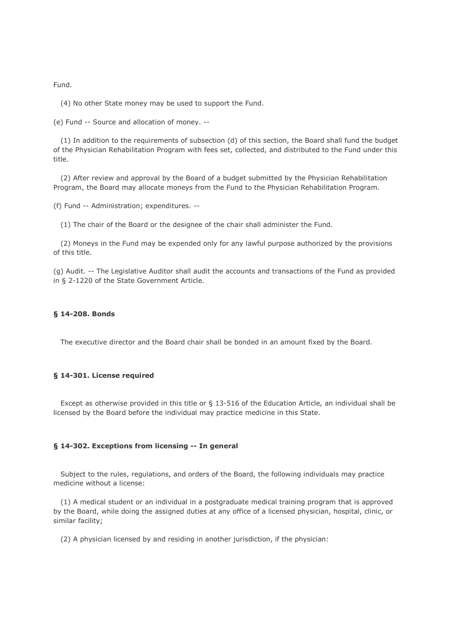Fund.

(4) No other State money may be used to support the Fund.

(e) Fund -- Source and allocation of money. --

 (1) In addition to the requirements of subsection (d) of this section, the Board shall fund the budget of the Physician Rehabilitation Program with fees set, collected, and distributed to the Fund under this title.

 (2) After review and approval by the Board of a budget submitted by the Physician Rehabilitation Program, the Board may allocate moneys from the Fund to the Physician Rehabilitation Program.

(f) Fund -- Administration; expenditures. --

(1) The chair of the Board or the designee of the chair shall administer the Fund.

 (2) Moneys in the Fund may be expended only for any lawful purpose authorized by the provisions of this title.

(g) Audit. -- The Legislative Auditor shall audit the accounts and transactions of the Fund as provided in § 2-1220 of the State Government Article.

#### **§ 14-208. Bonds**

The executive director and the Board chair shall be bonded in an amount fixed by the Board.

## **§ 14-301. License required**

 Except as otherwise provided in this title or § 13-516 of the Education Article, an individual shall be licensed by the Board before the individual may practice medicine in this State.

#### **§ 14-302. Exceptions from licensing -- In general**

 Subject to the rules, regulations, and orders of the Board, the following individuals may practice medicine without a license:

 (1) A medical student or an individual in a postgraduate medical training program that is approved by the Board, while doing the assigned duties at any office of a licensed physician, hospital, clinic, or similar facility;

(2) A physician licensed by and residing in another jurisdiction, if the physician: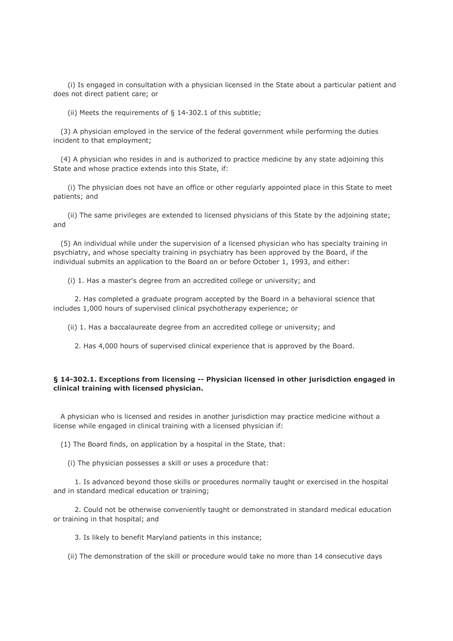(i) Is engaged in consultation with a physician licensed in the State about a particular patient and does not direct patient care; or

(ii) Meets the requirements of  $\S$  14-302.1 of this subtitle;

 (3) A physician employed in the service of the federal government while performing the duties incident to that employment;

 (4) A physician who resides in and is authorized to practice medicine by any state adjoining this State and whose practice extends into this State, if:

 (i) The physician does not have an office or other regularly appointed place in this State to meet patients; and

 (ii) The same privileges are extended to licensed physicians of this State by the adjoining state; and

 (5) An individual while under the supervision of a licensed physician who has specialty training in psychiatry, and whose specialty training in psychiatry has been approved by the Board, if the individual submits an application to the Board on or before October 1, 1993, and either:

(i) 1. Has a master's degree from an accredited college or university; and

 2. Has completed a graduate program accepted by the Board in a behavioral science that includes 1,000 hours of supervised clinical psychotherapy experience; or

(ii) 1. Has a baccalaureate degree from an accredited college or university; and

2. Has 4,000 hours of supervised clinical experience that is approved by the Board.

## **§ 14-302.1. Exceptions from licensing -- Physician licensed in other jurisdiction engaged in clinical training with licensed physician.**

 A physician who is licensed and resides in another jurisdiction may practice medicine without a license while engaged in clinical training with a licensed physician if:

(1) The Board finds, on application by a hospital in the State, that:

(i) The physician possesses a skill or uses a procedure that:

 1. Is advanced beyond those skills or procedures normally taught or exercised in the hospital and in standard medical education or training;

 2. Could not be otherwise conveniently taught or demonstrated in standard medical education or training in that hospital; and

3. Is likely to benefit Maryland patients in this instance;

(ii) The demonstration of the skill or procedure would take no more than 14 consecutive days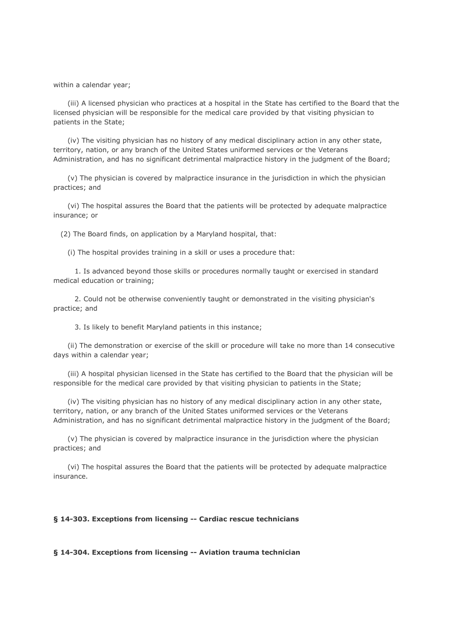within a calendar year;

 (iii) A licensed physician who practices at a hospital in the State has certified to the Board that the licensed physician will be responsible for the medical care provided by that visiting physician to patients in the State;

 (iv) The visiting physician has no history of any medical disciplinary action in any other state, territory, nation, or any branch of the United States uniformed services or the Veterans Administration, and has no significant detrimental malpractice history in the judgment of the Board;

 (v) The physician is covered by malpractice insurance in the jurisdiction in which the physician practices; and

 (vi) The hospital assures the Board that the patients will be protected by adequate malpractice insurance; or

(2) The Board finds, on application by a Maryland hospital, that:

(i) The hospital provides training in a skill or uses a procedure that:

 1. Is advanced beyond those skills or procedures normally taught or exercised in standard medical education or training;

 2. Could not be otherwise conveniently taught or demonstrated in the visiting physician's practice; and

3. Is likely to benefit Maryland patients in this instance;

 (ii) The demonstration or exercise of the skill or procedure will take no more than 14 consecutive days within a calendar year;

 (iii) A hospital physician licensed in the State has certified to the Board that the physician will be responsible for the medical care provided by that visiting physician to patients in the State;

 (iv) The visiting physician has no history of any medical disciplinary action in any other state, territory, nation, or any branch of the United States uniformed services or the Veterans Administration, and has no significant detrimental malpractice history in the judgment of the Board;

 (v) The physician is covered by malpractice insurance in the jurisdiction where the physician practices; and

 (vi) The hospital assures the Board that the patients will be protected by adequate malpractice insurance.

### **§ 14-303. Exceptions from licensing -- Cardiac rescue technicians**

**§ 14-304. Exceptions from licensing -- Aviation trauma technician**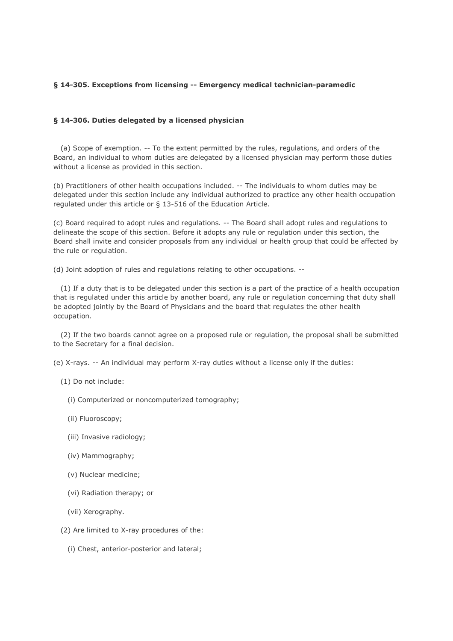## **§ 14-305. Exceptions from licensing -- Emergency medical technician-paramedic**

## **§ 14-306. Duties delegated by a licensed physician**

 (a) Scope of exemption. -- To the extent permitted by the rules, regulations, and orders of the Board, an individual to whom duties are delegated by a licensed physician may perform those duties without a license as provided in this section.

(b) Practitioners of other health occupations included. -- The individuals to whom duties may be delegated under this section include any individual authorized to practice any other health occupation regulated under this article or § 13-516 of the Education Article.

(c) Board required to adopt rules and regulations. -- The Board shall adopt rules and regulations to delineate the scope of this section. Before it adopts any rule or regulation under this section, the Board shall invite and consider proposals from any individual or health group that could be affected by the rule or regulation.

(d) Joint adoption of rules and regulations relating to other occupations. --

 (1) If a duty that is to be delegated under this section is a part of the practice of a health occupation that is regulated under this article by another board, any rule or regulation concerning that duty shall be adopted jointly by the Board of Physicians and the board that regulates the other health occupation.

 (2) If the two boards cannot agree on a proposed rule or regulation, the proposal shall be submitted to the Secretary for a final decision.

(e) X-rays. -- An individual may perform X-ray duties without a license only if the duties:

- (1) Do not include:
	- (i) Computerized or noncomputerized tomography;
	- (ii) Fluoroscopy;
	- (iii) Invasive radiology;
	- (iv) Mammography;
	- (v) Nuclear medicine;
	- (vi) Radiation therapy; or
	- (vii) Xerography.
- (2) Are limited to X-ray procedures of the:
	- (i) Chest, anterior-posterior and lateral;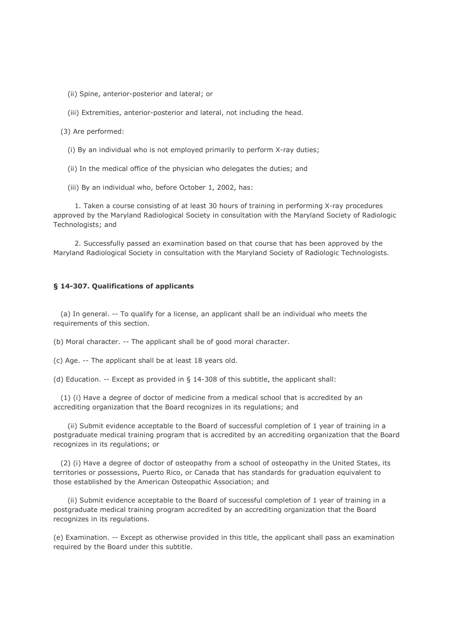(ii) Spine, anterior-posterior and lateral; or

(iii) Extremities, anterior-posterior and lateral, not including the head.

(3) Are performed:

(i) By an individual who is not employed primarily to perform X-ray duties;

(ii) In the medical office of the physician who delegates the duties; and

(iii) By an individual who, before October 1, 2002, has:

 1. Taken a course consisting of at least 30 hours of training in performing X-ray procedures approved by the Maryland Radiological Society in consultation with the Maryland Society of Radiologic Technologists; and

 2. Successfully passed an examination based on that course that has been approved by the Maryland Radiological Society in consultation with the Maryland Society of Radiologic Technologists.

#### **§ 14-307. Qualifications of applicants**

 (a) In general. -- To qualify for a license, an applicant shall be an individual who meets the requirements of this section.

(b) Moral character. -- The applicant shall be of good moral character.

(c) Age. -- The applicant shall be at least 18 years old.

(d) Education. -- Except as provided in § 14-308 of this subtitle, the applicant shall:

 (1) (i) Have a degree of doctor of medicine from a medical school that is accredited by an accrediting organization that the Board recognizes in its regulations; and

 (ii) Submit evidence acceptable to the Board of successful completion of 1 year of training in a postgraduate medical training program that is accredited by an accrediting organization that the Board recognizes in its regulations; or

 (2) (i) Have a degree of doctor of osteopathy from a school of osteopathy in the United States, its territories or possessions, Puerto Rico, or Canada that has standards for graduation equivalent to those established by the American Osteopathic Association; and

 (ii) Submit evidence acceptable to the Board of successful completion of 1 year of training in a postgraduate medical training program accredited by an accrediting organization that the Board recognizes in its regulations.

(e) Examination. -- Except as otherwise provided in this title, the applicant shall pass an examination required by the Board under this subtitle.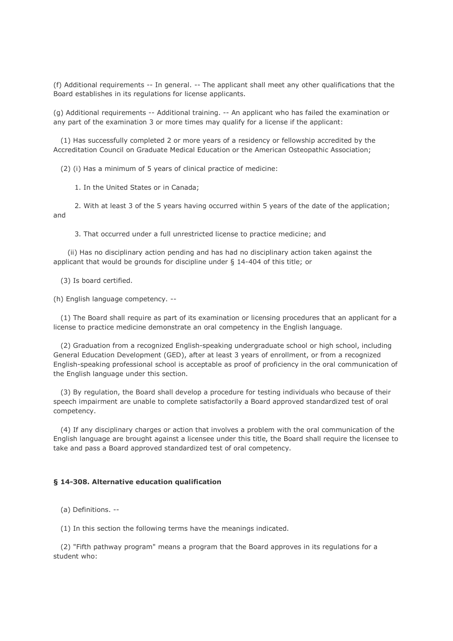(f) Additional requirements -- In general. -- The applicant shall meet any other qualifications that the Board establishes in its regulations for license applicants.

(g) Additional requirements -- Additional training. -- An applicant who has failed the examination or any part of the examination 3 or more times may qualify for a license if the applicant:

 (1) Has successfully completed 2 or more years of a residency or fellowship accredited by the Accreditation Council on Graduate Medical Education or the American Osteopathic Association;

(2) (i) Has a minimum of 5 years of clinical practice of medicine:

1. In the United States or in Canada;

 2. With at least 3 of the 5 years having occurred within 5 years of the date of the application; and

3. That occurred under a full unrestricted license to practice medicine; and

 (ii) Has no disciplinary action pending and has had no disciplinary action taken against the applicant that would be grounds for discipline under § 14-404 of this title; or

(3) Is board certified.

(h) English language competency. --

 (1) The Board shall require as part of its examination or licensing procedures that an applicant for a license to practice medicine demonstrate an oral competency in the English language.

 (2) Graduation from a recognized English-speaking undergraduate school or high school, including General Education Development (GED), after at least 3 years of enrollment, or from a recognized English-speaking professional school is acceptable as proof of proficiency in the oral communication of the English language under this section.

 (3) By regulation, the Board shall develop a procedure for testing individuals who because of their speech impairment are unable to complete satisfactorily a Board approved standardized test of oral competency.

 (4) If any disciplinary charges or action that involves a problem with the oral communication of the English language are brought against a licensee under this title, the Board shall require the licensee to take and pass a Board approved standardized test of oral competency.

#### **§ 14-308. Alternative education qualification**

(a) Definitions. --

(1) In this section the following terms have the meanings indicated.

 (2) "Fifth pathway program" means a program that the Board approves in its regulations for a student who: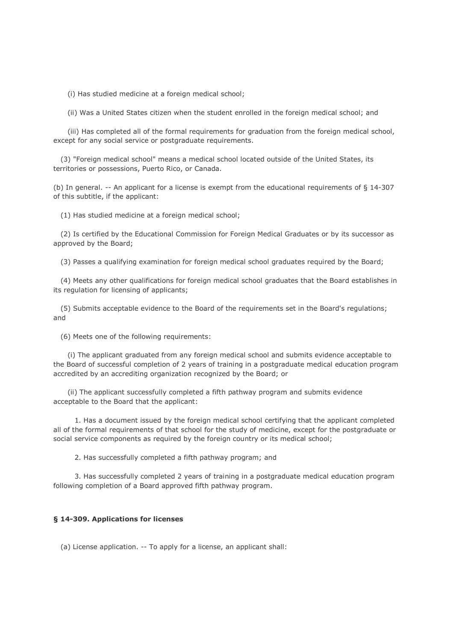(i) Has studied medicine at a foreign medical school;

(ii) Was a United States citizen when the student enrolled in the foreign medical school; and

 (iii) Has completed all of the formal requirements for graduation from the foreign medical school, except for any social service or postgraduate requirements.

 (3) "Foreign medical school" means a medical school located outside of the United States, its territories or possessions, Puerto Rico, or Canada.

(b) In general. -- An applicant for a license is exempt from the educational requirements of § 14-307 of this subtitle, if the applicant:

(1) Has studied medicine at a foreign medical school;

 (2) Is certified by the Educational Commission for Foreign Medical Graduates or by its successor as approved by the Board;

(3) Passes a qualifying examination for foreign medical school graduates required by the Board;

 (4) Meets any other qualifications for foreign medical school graduates that the Board establishes in its regulation for licensing of applicants;

 (5) Submits acceptable evidence to the Board of the requirements set in the Board's regulations; and

(6) Meets one of the following requirements:

 (i) The applicant graduated from any foreign medical school and submits evidence acceptable to the Board of successful completion of 2 years of training in a postgraduate medical education program accredited by an accrediting organization recognized by the Board; or

 (ii) The applicant successfully completed a fifth pathway program and submits evidence acceptable to the Board that the applicant:

 1. Has a document issued by the foreign medical school certifying that the applicant completed all of the formal requirements of that school for the study of medicine, except for the postgraduate or social service components as required by the foreign country or its medical school;

2. Has successfully completed a fifth pathway program; and

 3. Has successfully completed 2 years of training in a postgraduate medical education program following completion of a Board approved fifth pathway program.

## **§ 14-309. Applications for licenses**

(a) License application. -- To apply for a license, an applicant shall: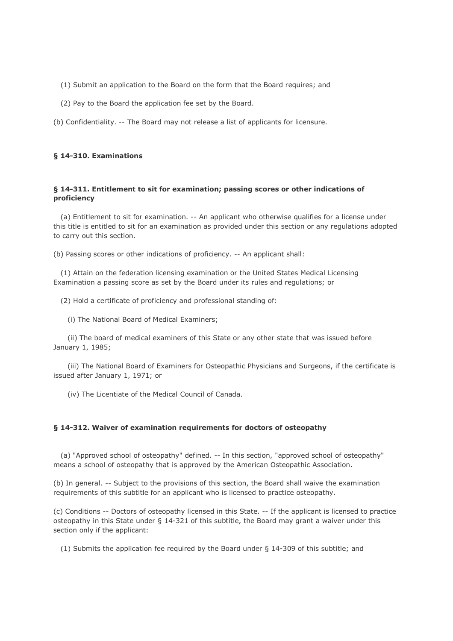- (1) Submit an application to the Board on the form that the Board requires; and
- (2) Pay to the Board the application fee set by the Board.
- (b) Confidentiality. -- The Board may not release a list of applicants for licensure.

## **§ 14-310. Examinations**

## **§ 14-311. Entitlement to sit for examination; passing scores or other indications of proficiency**

 (a) Entitlement to sit for examination. -- An applicant who otherwise qualifies for a license under this title is entitled to sit for an examination as provided under this section or any regulations adopted to carry out this section.

(b) Passing scores or other indications of proficiency. -- An applicant shall:

 (1) Attain on the federation licensing examination or the United States Medical Licensing Examination a passing score as set by the Board under its rules and regulations; or

(2) Hold a certificate of proficiency and professional standing of:

(i) The National Board of Medical Examiners;

 (ii) The board of medical examiners of this State or any other state that was issued before January 1, 1985;

 (iii) The National Board of Examiners for Osteopathic Physicians and Surgeons, if the certificate is issued after January 1, 1971; or

(iv) The Licentiate of the Medical Council of Canada.

## **§ 14-312. Waiver of examination requirements for doctors of osteopathy**

 (a) "Approved school of osteopathy" defined. -- In this section, "approved school of osteopathy" means a school of osteopathy that is approved by the American Osteopathic Association.

(b) In general. -- Subject to the provisions of this section, the Board shall waive the examination requirements of this subtitle for an applicant who is licensed to practice osteopathy.

(c) Conditions -- Doctors of osteopathy licensed in this State. -- If the applicant is licensed to practice osteopathy in this State under § 14-321 of this subtitle, the Board may grant a waiver under this section only if the applicant:

(1) Submits the application fee required by the Board under § 14-309 of this subtitle; and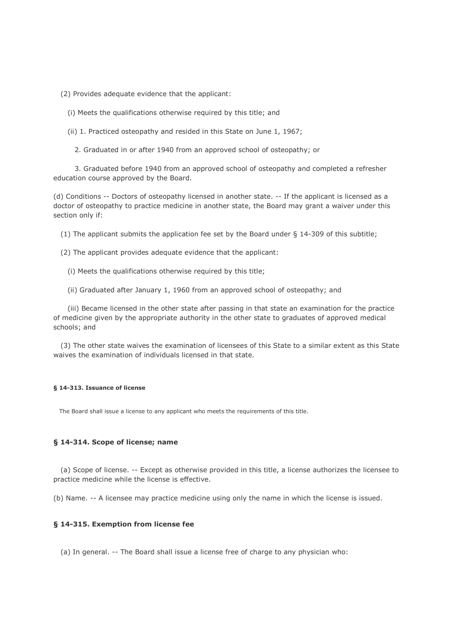(2) Provides adequate evidence that the applicant:

- (i) Meets the qualifications otherwise required by this title; and
- (ii) 1. Practiced osteopathy and resided in this State on June 1, 1967;
	- 2. Graduated in or after 1940 from an approved school of osteopathy; or

 3. Graduated before 1940 from an approved school of osteopathy and completed a refresher education course approved by the Board.

(d) Conditions -- Doctors of osteopathy licensed in another state. -- If the applicant is licensed as a doctor of osteopathy to practice medicine in another state, the Board may grant a waiver under this section only if:

(1) The applicant submits the application fee set by the Board under § 14-309 of this subtitle;

- (2) The applicant provides adequate evidence that the applicant:
	- (i) Meets the qualifications otherwise required by this title;
	- (ii) Graduated after January 1, 1960 from an approved school of osteopathy; and

 (iii) Became licensed in the other state after passing in that state an examination for the practice of medicine given by the appropriate authority in the other state to graduates of approved medical schools; and

 (3) The other state waives the examination of licensees of this State to a similar extent as this State waives the examination of individuals licensed in that state.

### **§ 14-313. Issuance of license**

The Board shall issue a license to any applicant who meets the requirements of this title.

### **§ 14-314. Scope of license; name**

 (a) Scope of license. -- Except as otherwise provided in this title, a license authorizes the licensee to practice medicine while the license is effective.

(b) Name. -- A licensee may practice medicine using only the name in which the license is issued.

### **§ 14-315. Exemption from license fee**

(a) In general. -- The Board shall issue a license free of charge to any physician who: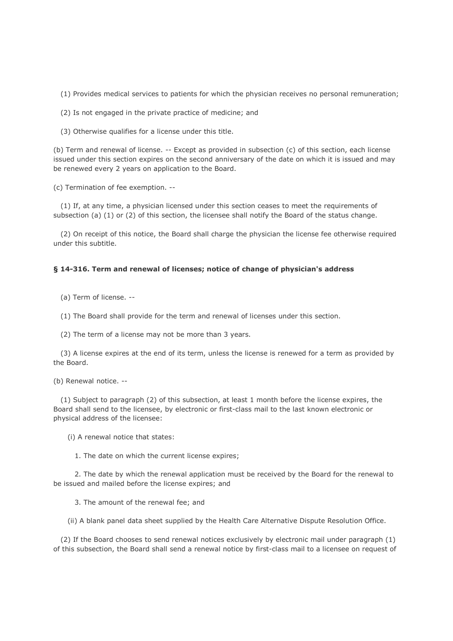(1) Provides medical services to patients for which the physician receives no personal remuneration;

(2) Is not engaged in the private practice of medicine; and

(3) Otherwise qualifies for a license under this title.

(b) Term and renewal of license. -- Except as provided in subsection (c) of this section, each license issued under this section expires on the second anniversary of the date on which it is issued and may be renewed every 2 years on application to the Board.

(c) Termination of fee exemption. --

 (1) If, at any time, a physician licensed under this section ceases to meet the requirements of subsection (a) (1) or (2) of this section, the licensee shall notify the Board of the status change.

 (2) On receipt of this notice, the Board shall charge the physician the license fee otherwise required under this subtitle.

### **§ 14-316. Term and renewal of licenses; notice of change of physician's address**

(a) Term of license. --

(1) The Board shall provide for the term and renewal of licenses under this section.

(2) The term of a license may not be more than 3 years.

 (3) A license expires at the end of its term, unless the license is renewed for a term as provided by the Board.

(b) Renewal notice. --

 (1) Subject to paragraph (2) of this subsection, at least 1 month before the license expires, the Board shall send to the licensee, by electronic or first-class mail to the last known electronic or physical address of the licensee:

(i) A renewal notice that states:

1. The date on which the current license expires;

 2. The date by which the renewal application must be received by the Board for the renewal to be issued and mailed before the license expires; and

3. The amount of the renewal fee; and

(ii) A blank panel data sheet supplied by the Health Care Alternative Dispute Resolution Office.

 (2) If the Board chooses to send renewal notices exclusively by electronic mail under paragraph (1) of this subsection, the Board shall send a renewal notice by first-class mail to a licensee on request of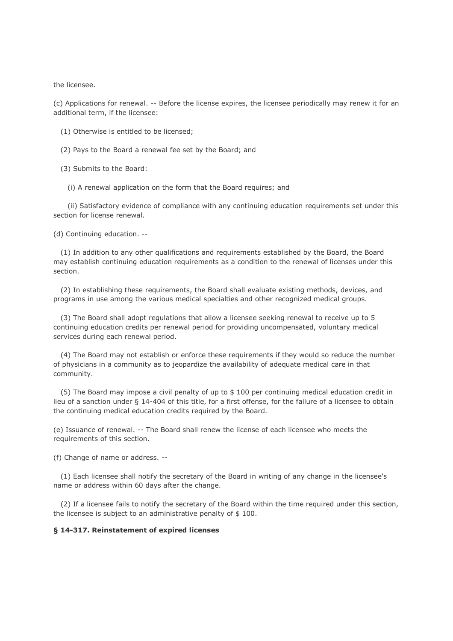the licensee.

(c) Applications for renewal. -- Before the license expires, the licensee periodically may renew it for an additional term, if the licensee:

- (1) Otherwise is entitled to be licensed;
- (2) Pays to the Board a renewal fee set by the Board; and
- (3) Submits to the Board:
	- (i) A renewal application on the form that the Board requires; and

 (ii) Satisfactory evidence of compliance with any continuing education requirements set under this section for license renewal.

(d) Continuing education. --

 (1) In addition to any other qualifications and requirements established by the Board, the Board may establish continuing education requirements as a condition to the renewal of licenses under this section.

 (2) In establishing these requirements, the Board shall evaluate existing methods, devices, and programs in use among the various medical specialties and other recognized medical groups.

 (3) The Board shall adopt regulations that allow a licensee seeking renewal to receive up to 5 continuing education credits per renewal period for providing uncompensated, voluntary medical services during each renewal period.

 (4) The Board may not establish or enforce these requirements if they would so reduce the number of physicians in a community as to jeopardize the availability of adequate medical care in that community.

 (5) The Board may impose a civil penalty of up to \$ 100 per continuing medical education credit in lieu of a sanction under § 14-404 of this title, for a first offense, for the failure of a licensee to obtain the continuing medical education credits required by the Board.

(e) Issuance of renewal. -- The Board shall renew the license of each licensee who meets the requirements of this section.

(f) Change of name or address. --

 (1) Each licensee shall notify the secretary of the Board in writing of any change in the licensee's name or address within 60 days after the change.

 (2) If a licensee fails to notify the secretary of the Board within the time required under this section, the licensee is subject to an administrative penalty of \$ 100.

## **§ 14-317. Reinstatement of expired licenses**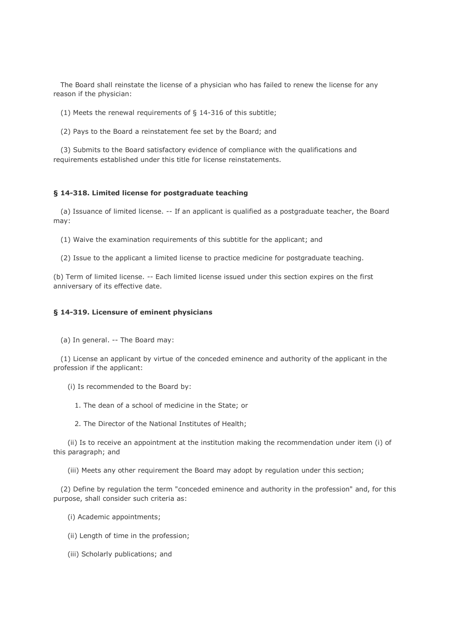The Board shall reinstate the license of a physician who has failed to renew the license for any reason if the physician:

- (1) Meets the renewal requirements of § 14-316 of this subtitle;
- (2) Pays to the Board a reinstatement fee set by the Board; and

 (3) Submits to the Board satisfactory evidence of compliance with the qualifications and requirements established under this title for license reinstatements.

### **§ 14-318. Limited license for postgraduate teaching**

 (a) Issuance of limited license. -- If an applicant is qualified as a postgraduate teacher, the Board may:

(1) Waive the examination requirements of this subtitle for the applicant; and

(2) Issue to the applicant a limited license to practice medicine for postgraduate teaching.

(b) Term of limited license. -- Each limited license issued under this section expires on the first anniversary of its effective date.

## **§ 14-319. Licensure of eminent physicians**

(a) In general. -- The Board may:

 (1) License an applicant by virtue of the conceded eminence and authority of the applicant in the profession if the applicant:

- (i) Is recommended to the Board by:
	- 1. The dean of a school of medicine in the State; or
	- 2. The Director of the National Institutes of Health;

 (ii) Is to receive an appointment at the institution making the recommendation under item (i) of this paragraph; and

(iii) Meets any other requirement the Board may adopt by regulation under this section;

 (2) Define by regulation the term "conceded eminence and authority in the profession" and, for this purpose, shall consider such criteria as:

- (i) Academic appointments;
- (ii) Length of time in the profession;
- (iii) Scholarly publications; and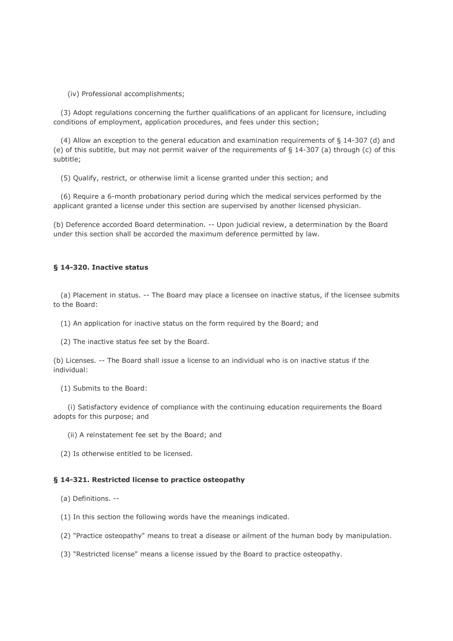(iv) Professional accomplishments;

 (3) Adopt regulations concerning the further qualifications of an applicant for licensure, including conditions of employment, application procedures, and fees under this section;

 (4) Allow an exception to the general education and examination requirements of § 14-307 (d) and (e) of this subtitle, but may not permit waiver of the requirements of § 14-307 (a) through (c) of this subtitle;

(5) Qualify, restrict, or otherwise limit a license granted under this section; and

 (6) Require a 6-month probationary period during which the medical services performed by the applicant granted a license under this section are supervised by another licensed physician.

(b) Deference accorded Board determination. -- Upon judicial review, a determination by the Board under this section shall be accorded the maximum deference permitted by law.

## **§ 14-320. Inactive status**

 (a) Placement in status. -- The Board may place a licensee on inactive status, if the licensee submits to the Board:

- (1) An application for inactive status on the form required by the Board; and
- (2) The inactive status fee set by the Board.

(b) Licenses. -- The Board shall issue a license to an individual who is on inactive status if the individual:

(1) Submits to the Board:

 (i) Satisfactory evidence of compliance with the continuing education requirements the Board adopts for this purpose; and

- (ii) A reinstatement fee set by the Board; and
- (2) Is otherwise entitled to be licensed.

## **§ 14-321. Restricted license to practice osteopathy**

(a) Definitions. --

- (1) In this section the following words have the meanings indicated.
- (2) "Practice osteopathy" means to treat a disease or ailment of the human body by manipulation.
- (3) "Restricted license" means a license issued by the Board to practice osteopathy.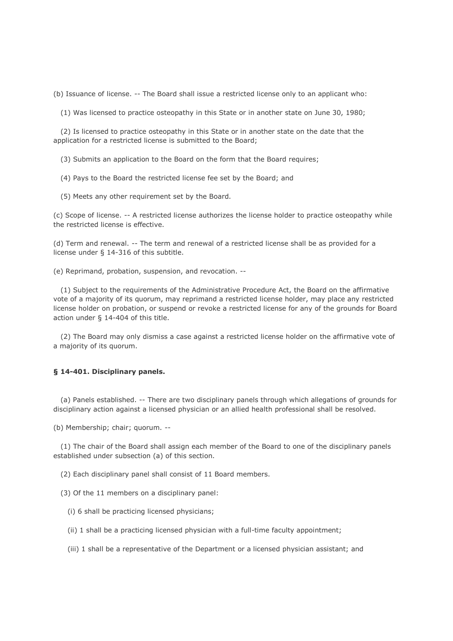(b) Issuance of license. -- The Board shall issue a restricted license only to an applicant who:

(1) Was licensed to practice osteopathy in this State or in another state on June 30, 1980;

 (2) Is licensed to practice osteopathy in this State or in another state on the date that the application for a restricted license is submitted to the Board;

(3) Submits an application to the Board on the form that the Board requires;

- (4) Pays to the Board the restricted license fee set by the Board; and
- (5) Meets any other requirement set by the Board.

(c) Scope of license. -- A restricted license authorizes the license holder to practice osteopathy while the restricted license is effective.

(d) Term and renewal. -- The term and renewal of a restricted license shall be as provided for a license under § 14-316 of this subtitle.

(e) Reprimand, probation, suspension, and revocation. --

 (1) Subject to the requirements of the Administrative Procedure Act, the Board on the affirmative vote of a majority of its quorum, may reprimand a restricted license holder, may place any restricted license holder on probation, or suspend or revoke a restricted license for any of the grounds for Board action under § 14-404 of this title.

 (2) The Board may only dismiss a case against a restricted license holder on the affirmative vote of a majority of its quorum.

# **§ 14-401. Disciplinary panels.**

 (a) Panels established. -- There are two disciplinary panels through which allegations of grounds for disciplinary action against a licensed physician or an allied health professional shall be resolved.

(b) Membership; chair; quorum. --

 (1) The chair of the Board shall assign each member of the Board to one of the disciplinary panels established under subsection (a) of this section.

(2) Each disciplinary panel shall consist of 11 Board members.

- (3) Of the 11 members on a disciplinary panel:
	- (i) 6 shall be practicing licensed physicians;
	- (ii) 1 shall be a practicing licensed physician with a full-time faculty appointment;
	- (iii) 1 shall be a representative of the Department or a licensed physician assistant; and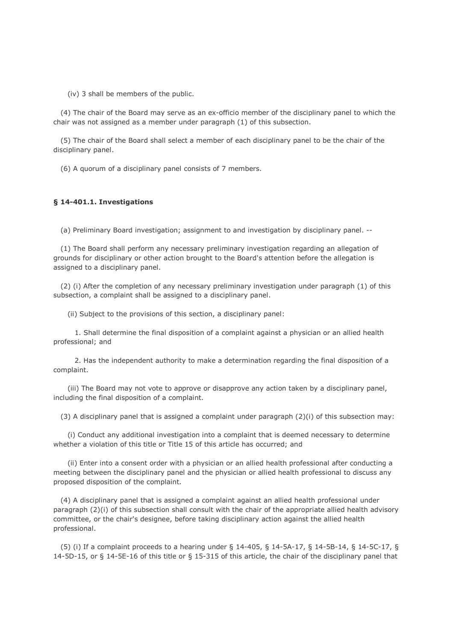(iv) 3 shall be members of the public.

 (4) The chair of the Board may serve as an ex-officio member of the disciplinary panel to which the chair was not assigned as a member under paragraph (1) of this subsection.

 (5) The chair of the Board shall select a member of each disciplinary panel to be the chair of the disciplinary panel.

(6) A quorum of a disciplinary panel consists of 7 members.

#### **§ 14-401.1. Investigations**

(a) Preliminary Board investigation; assignment to and investigation by disciplinary panel. --

 (1) The Board shall perform any necessary preliminary investigation regarding an allegation of grounds for disciplinary or other action brought to the Board's attention before the allegation is assigned to a disciplinary panel.

 (2) (i) After the completion of any necessary preliminary investigation under paragraph (1) of this subsection, a complaint shall be assigned to a disciplinary panel.

(ii) Subject to the provisions of this section, a disciplinary panel:

 1. Shall determine the final disposition of a complaint against a physician or an allied health professional; and

 2. Has the independent authority to make a determination regarding the final disposition of a complaint.

 (iii) The Board may not vote to approve or disapprove any action taken by a disciplinary panel, including the final disposition of a complaint.

(3) A disciplinary panel that is assigned a complaint under paragraph (2)(i) of this subsection may:

 (i) Conduct any additional investigation into a complaint that is deemed necessary to determine whether a violation of this title or Title 15 of this article has occurred; and

 (ii) Enter into a consent order with a physician or an allied health professional after conducting a meeting between the disciplinary panel and the physician or allied health professional to discuss any proposed disposition of the complaint.

 (4) A disciplinary panel that is assigned a complaint against an allied health professional under paragraph (2)(i) of this subsection shall consult with the chair of the appropriate allied health advisory committee, or the chair's designee, before taking disciplinary action against the allied health professional.

 (5) (i) If a complaint proceeds to a hearing under § 14-405, § 14-5A-17, § 14-5B-14, § 14-5C-17, § 14-5D-15, or § 14-5E-16 of this title or § 15-315 of this article, the chair of the disciplinary panel that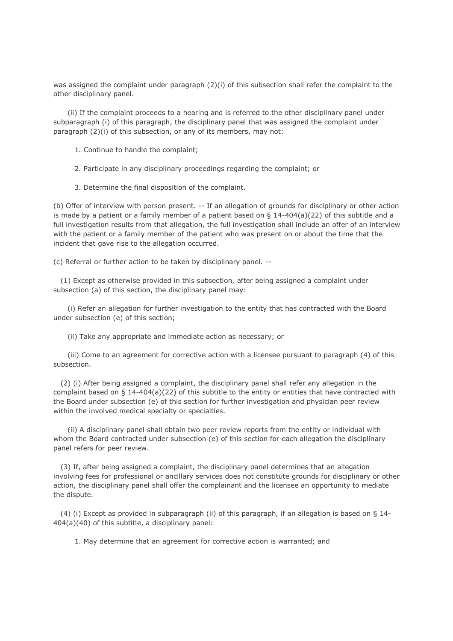was assigned the complaint under paragraph (2)(i) of this subsection shall refer the complaint to the other disciplinary panel.

 (ii) If the complaint proceeds to a hearing and is referred to the other disciplinary panel under subparagraph (i) of this paragraph, the disciplinary panel that was assigned the complaint under paragraph (2)(i) of this subsection, or any of its members, may not:

- 1. Continue to handle the complaint;
- 2. Participate in any disciplinary proceedings regarding the complaint; or
- 3. Determine the final disposition of the complaint.

(b) Offer of interview with person present. -- If an allegation of grounds for disciplinary or other action is made by a patient or a family member of a patient based on  $\S$  14-404(a)(22) of this subtitle and a full investigation results from that allegation, the full investigation shall include an offer of an interview with the patient or a family member of the patient who was present on or about the time that the incident that gave rise to the allegation occurred.

(c) Referral or further action to be taken by disciplinary panel. --

 (1) Except as otherwise provided in this subsection, after being assigned a complaint under subsection (a) of this section, the disciplinary panel may:

 (i) Refer an allegation for further investigation to the entity that has contracted with the Board under subsection (e) of this section;

(ii) Take any appropriate and immediate action as necessary; or

 (iii) Come to an agreement for corrective action with a licensee pursuant to paragraph (4) of this subsection.

 (2) (i) After being assigned a complaint, the disciplinary panel shall refer any allegation in the complaint based on § 14-404(a)(22) of this subtitle to the entity or entities that have contracted with the Board under subsection (e) of this section for further investigation and physician peer review within the involved medical specialty or specialties.

 (ii) A disciplinary panel shall obtain two peer review reports from the entity or individual with whom the Board contracted under subsection (e) of this section for each allegation the disciplinary panel refers for peer review.

 (3) If, after being assigned a complaint, the disciplinary panel determines that an allegation involving fees for professional or ancillary services does not constitute grounds for disciplinary or other action, the disciplinary panel shall offer the complainant and the licensee an opportunity to mediate the dispute.

 (4) (i) Except as provided in subparagraph (ii) of this paragraph, if an allegation is based on § 14- 404(a)(40) of this subtitle, a disciplinary panel:

1. May determine that an agreement for corrective action is warranted; and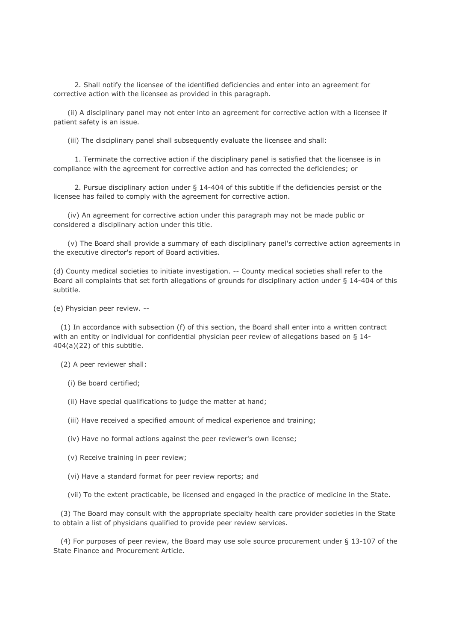2. Shall notify the licensee of the identified deficiencies and enter into an agreement for corrective action with the licensee as provided in this paragraph.

 (ii) A disciplinary panel may not enter into an agreement for corrective action with a licensee if patient safety is an issue.

(iii) The disciplinary panel shall subsequently evaluate the licensee and shall:

 1. Terminate the corrective action if the disciplinary panel is satisfied that the licensee is in compliance with the agreement for corrective action and has corrected the deficiencies; or

 2. Pursue disciplinary action under § 14-404 of this subtitle if the deficiencies persist or the licensee has failed to comply with the agreement for corrective action.

 (iv) An agreement for corrective action under this paragraph may not be made public or considered a disciplinary action under this title.

 (v) The Board shall provide a summary of each disciplinary panel's corrective action agreements in the executive director's report of Board activities.

(d) County medical societies to initiate investigation. -- County medical societies shall refer to the Board all complaints that set forth allegations of grounds for disciplinary action under § 14-404 of this subtitle.

(e) Physician peer review. --

 (1) In accordance with subsection (f) of this section, the Board shall enter into a written contract with an entity or individual for confidential physician peer review of allegations based on § 14- 404(a)(22) of this subtitle.

(2) A peer reviewer shall:

(i) Be board certified;

(ii) Have special qualifications to judge the matter at hand;

(iii) Have received a specified amount of medical experience and training;

(iv) Have no formal actions against the peer reviewer's own license;

(v) Receive training in peer review;

(vi) Have a standard format for peer review reports; and

(vii) To the extent practicable, be licensed and engaged in the practice of medicine in the State.

 (3) The Board may consult with the appropriate specialty health care provider societies in the State to obtain a list of physicians qualified to provide peer review services.

 (4) For purposes of peer review, the Board may use sole source procurement under § 13-107 of the State Finance and Procurement Article.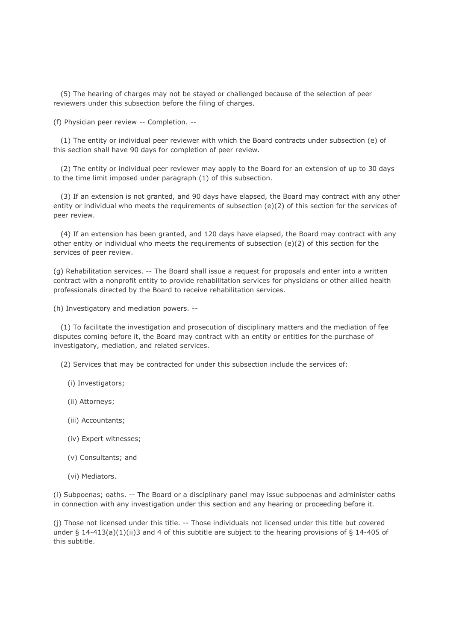(5) The hearing of charges may not be stayed or challenged because of the selection of peer reviewers under this subsection before the filing of charges.

(f) Physician peer review -- Completion. --

 (1) The entity or individual peer reviewer with which the Board contracts under subsection (e) of this section shall have 90 days for completion of peer review.

 (2) The entity or individual peer reviewer may apply to the Board for an extension of up to 30 days to the time limit imposed under paragraph (1) of this subsection.

 (3) If an extension is not granted, and 90 days have elapsed, the Board may contract with any other entity or individual who meets the requirements of subsection (e)(2) of this section for the services of peer review.

 (4) If an extension has been granted, and 120 days have elapsed, the Board may contract with any other entity or individual who meets the requirements of subsection (e)(2) of this section for the services of peer review.

(g) Rehabilitation services. -- The Board shall issue a request for proposals and enter into a written contract with a nonprofit entity to provide rehabilitation services for physicians or other allied health professionals directed by the Board to receive rehabilitation services.

(h) Investigatory and mediation powers. --

 (1) To facilitate the investigation and prosecution of disciplinary matters and the mediation of fee disputes coming before it, the Board may contract with an entity or entities for the purchase of investigatory, mediation, and related services.

(2) Services that may be contracted for under this subsection include the services of:

- (i) Investigators;
- (ii) Attorneys;
- (iii) Accountants;
- (iv) Expert witnesses;
- (v) Consultants; and
- (vi) Mediators.

(i) Subpoenas; oaths. -- The Board or a disciplinary panel may issue subpoenas and administer oaths in connection with any investigation under this section and any hearing or proceeding before it.

(j) Those not licensed under this title. -- Those individuals not licensed under this title but covered under § 14-413(a)(1)(ii)3 and 4 of this subtitle are subject to the hearing provisions of § 14-405 of this subtitle.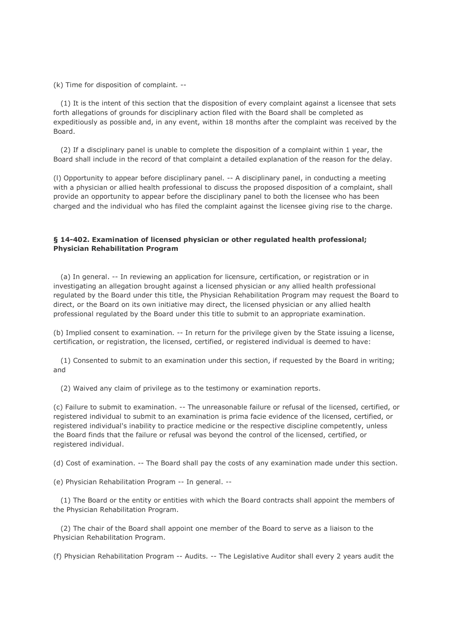(k) Time for disposition of complaint. --

 (1) It is the intent of this section that the disposition of every complaint against a licensee that sets forth allegations of grounds for disciplinary action filed with the Board shall be completed as expeditiously as possible and, in any event, within 18 months after the complaint was received by the Board.

 (2) If a disciplinary panel is unable to complete the disposition of a complaint within 1 year, the Board shall include in the record of that complaint a detailed explanation of the reason for the delay.

(l) Opportunity to appear before disciplinary panel. -- A disciplinary panel, in conducting a meeting with a physician or allied health professional to discuss the proposed disposition of a complaint, shall provide an opportunity to appear before the disciplinary panel to both the licensee who has been charged and the individual who has filed the complaint against the licensee giving rise to the charge.

## **§ 14-402. Examination of licensed physician or other regulated health professional; Physician Rehabilitation Program**

 (a) In general. -- In reviewing an application for licensure, certification, or registration or in investigating an allegation brought against a licensed physician or any allied health professional regulated by the Board under this title, the Physician Rehabilitation Program may request the Board to direct, or the Board on its own initiative may direct, the licensed physician or any allied health professional regulated by the Board under this title to submit to an appropriate examination.

(b) Implied consent to examination. -- In return for the privilege given by the State issuing a license, certification, or registration, the licensed, certified, or registered individual is deemed to have:

 (1) Consented to submit to an examination under this section, if requested by the Board in writing; and

(2) Waived any claim of privilege as to the testimony or examination reports.

(c) Failure to submit to examination. -- The unreasonable failure or refusal of the licensed, certified, or registered individual to submit to an examination is prima facie evidence of the licensed, certified, or registered individual's inability to practice medicine or the respective discipline competently, unless the Board finds that the failure or refusal was beyond the control of the licensed, certified, or registered individual.

(d) Cost of examination. -- The Board shall pay the costs of any examination made under this section.

(e) Physician Rehabilitation Program -- In general. --

 (1) The Board or the entity or entities with which the Board contracts shall appoint the members of the Physician Rehabilitation Program.

 (2) The chair of the Board shall appoint one member of the Board to serve as a liaison to the Physician Rehabilitation Program.

(f) Physician Rehabilitation Program -- Audits. -- The Legislative Auditor shall every 2 years audit the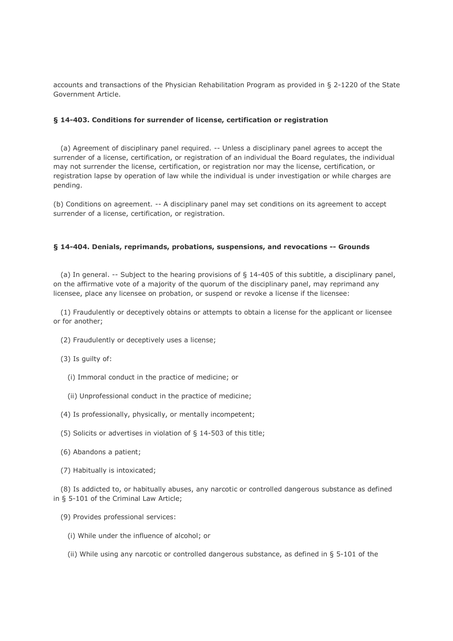accounts and transactions of the Physician Rehabilitation Program as provided in § 2-1220 of the State Government Article.

## **§ 14-403. Conditions for surrender of license, certification or registration**

 (a) Agreement of disciplinary panel required. -- Unless a disciplinary panel agrees to accept the surrender of a license, certification, or registration of an individual the Board regulates, the individual may not surrender the license, certification, or registration nor may the license, certification, or registration lapse by operation of law while the individual is under investigation or while charges are pending.

(b) Conditions on agreement. -- A disciplinary panel may set conditions on its agreement to accept surrender of a license, certification, or registration.

### **§ 14-404. Denials, reprimands, probations, suspensions, and revocations -- Grounds**

 (a) In general. -- Subject to the hearing provisions of § 14-405 of this subtitle, a disciplinary panel, on the affirmative vote of a majority of the quorum of the disciplinary panel, may reprimand any licensee, place any licensee on probation, or suspend or revoke a license if the licensee:

 (1) Fraudulently or deceptively obtains or attempts to obtain a license for the applicant or licensee or for another;

- (2) Fraudulently or deceptively uses a license;
- (3) Is guilty of:
	- (i) Immoral conduct in the practice of medicine; or
	- (ii) Unprofessional conduct in the practice of medicine;
- (4) Is professionally, physically, or mentally incompetent;
- (5) Solicits or advertises in violation of § 14-503 of this title;
- (6) Abandons a patient;
- (7) Habitually is intoxicated;

 (8) Is addicted to, or habitually abuses, any narcotic or controlled dangerous substance as defined in § 5-101 of the Criminal Law Article;

- (9) Provides professional services:
	- (i) While under the influence of alcohol; or
	- (ii) While using any narcotic or controlled dangerous substance, as defined in § 5-101 of the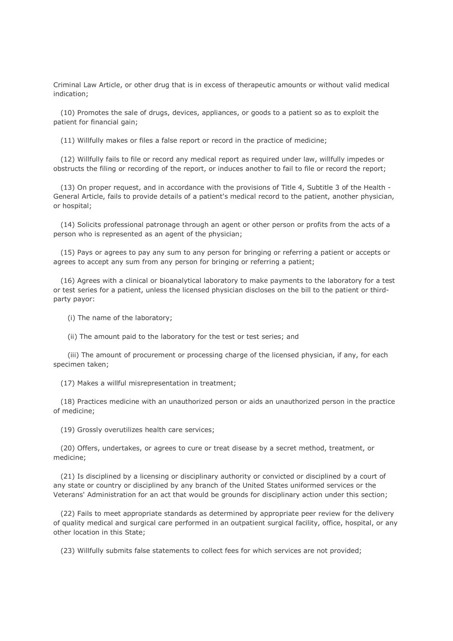Criminal Law Article, or other drug that is in excess of therapeutic amounts or without valid medical indication;

 (10) Promotes the sale of drugs, devices, appliances, or goods to a patient so as to exploit the patient for financial gain;

(11) Willfully makes or files a false report or record in the practice of medicine;

 (12) Willfully fails to file or record any medical report as required under law, willfully impedes or obstructs the filing or recording of the report, or induces another to fail to file or record the report;

 (13) On proper request, and in accordance with the provisions of Title 4, Subtitle 3 of the Health - General Article, fails to provide details of a patient's medical record to the patient, another physician, or hospital;

 (14) Solicits professional patronage through an agent or other person or profits from the acts of a person who is represented as an agent of the physician;

 (15) Pays or agrees to pay any sum to any person for bringing or referring a patient or accepts or agrees to accept any sum from any person for bringing or referring a patient;

 (16) Agrees with a clinical or bioanalytical laboratory to make payments to the laboratory for a test or test series for a patient, unless the licensed physician discloses on the bill to the patient or thirdparty payor:

(i) The name of the laboratory;

(ii) The amount paid to the laboratory for the test or test series; and

 (iii) The amount of procurement or processing charge of the licensed physician, if any, for each specimen taken;

(17) Makes a willful misrepresentation in treatment;

 (18) Practices medicine with an unauthorized person or aids an unauthorized person in the practice of medicine;

(19) Grossly overutilizes health care services;

 (20) Offers, undertakes, or agrees to cure or treat disease by a secret method, treatment, or medicine;

 (21) Is disciplined by a licensing or disciplinary authority or convicted or disciplined by a court of any state or country or disciplined by any branch of the United States uniformed services or the Veterans' Administration for an act that would be grounds for disciplinary action under this section;

 (22) Fails to meet appropriate standards as determined by appropriate peer review for the delivery of quality medical and surgical care performed in an outpatient surgical facility, office, hospital, or any other location in this State;

(23) Willfully submits false statements to collect fees for which services are not provided;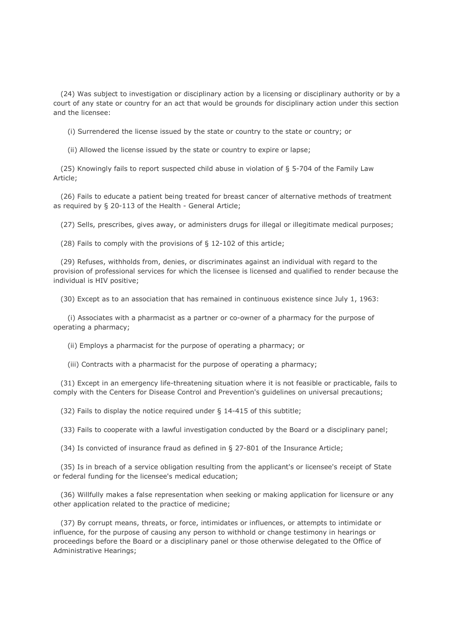(24) Was subject to investigation or disciplinary action by a licensing or disciplinary authority or by a court of any state or country for an act that would be grounds for disciplinary action under this section and the licensee:

(i) Surrendered the license issued by the state or country to the state or country; or

(ii) Allowed the license issued by the state or country to expire or lapse;

 (25) Knowingly fails to report suspected child abuse in violation of § 5-704 of the Family Law Article;

 (26) Fails to educate a patient being treated for breast cancer of alternative methods of treatment as required by § 20-113 of the Health - General Article;

(27) Sells, prescribes, gives away, or administers drugs for illegal or illegitimate medical purposes;

(28) Fails to comply with the provisions of § 12-102 of this article;

 (29) Refuses, withholds from, denies, or discriminates against an individual with regard to the provision of professional services for which the licensee is licensed and qualified to render because the individual is HIV positive;

(30) Except as to an association that has remained in continuous existence since July 1, 1963:

 (i) Associates with a pharmacist as a partner or co-owner of a pharmacy for the purpose of operating a pharmacy;

(ii) Employs a pharmacist for the purpose of operating a pharmacy; or

(iii) Contracts with a pharmacist for the purpose of operating a pharmacy;

 (31) Except in an emergency life-threatening situation where it is not feasible or practicable, fails to comply with the Centers for Disease Control and Prevention's guidelines on universal precautions;

(32) Fails to display the notice required under § 14-415 of this subtitle;

(33) Fails to cooperate with a lawful investigation conducted by the Board or a disciplinary panel;

(34) Is convicted of insurance fraud as defined in § 27-801 of the Insurance Article;

 (35) Is in breach of a service obligation resulting from the applicant's or licensee's receipt of State or federal funding for the licensee's medical education;

 (36) Willfully makes a false representation when seeking or making application for licensure or any other application related to the practice of medicine;

 (37) By corrupt means, threats, or force, intimidates or influences, or attempts to intimidate or influence, for the purpose of causing any person to withhold or change testimony in hearings or proceedings before the Board or a disciplinary panel or those otherwise delegated to the Office of Administrative Hearings;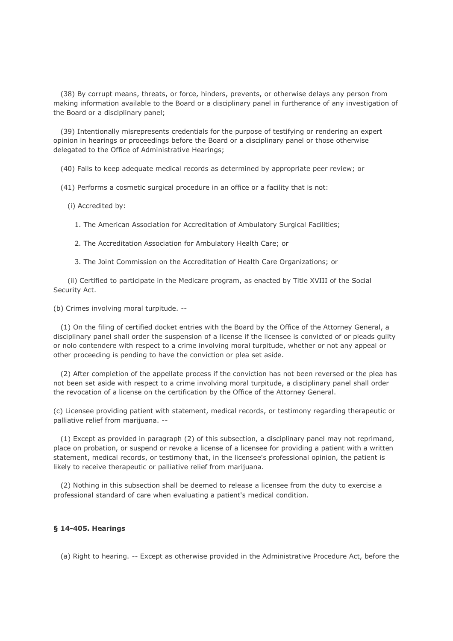(38) By corrupt means, threats, or force, hinders, prevents, or otherwise delays any person from making information available to the Board or a disciplinary panel in furtherance of any investigation of the Board or a disciplinary panel;

 (39) Intentionally misrepresents credentials for the purpose of testifying or rendering an expert opinion in hearings or proceedings before the Board or a disciplinary panel or those otherwise delegated to the Office of Administrative Hearings;

(40) Fails to keep adequate medical records as determined by appropriate peer review; or

(41) Performs a cosmetic surgical procedure in an office or a facility that is not:

(i) Accredited by:

1. The American Association for Accreditation of Ambulatory Surgical Facilities;

- 2. The Accreditation Association for Ambulatory Health Care; or
- 3. The Joint Commission on the Accreditation of Health Care Organizations; or

 (ii) Certified to participate in the Medicare program, as enacted by Title XVIII of the Social Security Act.

(b) Crimes involving moral turpitude. --

 (1) On the filing of certified docket entries with the Board by the Office of the Attorney General, a disciplinary panel shall order the suspension of a license if the licensee is convicted of or pleads guilty or nolo contendere with respect to a crime involving moral turpitude, whether or not any appeal or other proceeding is pending to have the conviction or plea set aside.

 (2) After completion of the appellate process if the conviction has not been reversed or the plea has not been set aside with respect to a crime involving moral turpitude, a disciplinary panel shall order the revocation of a license on the certification by the Office of the Attorney General.

(c) Licensee providing patient with statement, medical records, or testimony regarding therapeutic or palliative relief from marijuana. --

 (1) Except as provided in paragraph (2) of this subsection, a disciplinary panel may not reprimand, place on probation, or suspend or revoke a license of a licensee for providing a patient with a written statement, medical records, or testimony that, in the licensee's professional opinion, the patient is likely to receive therapeutic or palliative relief from marijuana.

 (2) Nothing in this subsection shall be deemed to release a licensee from the duty to exercise a professional standard of care when evaluating a patient's medical condition.

## **§ 14-405. Hearings**

(a) Right to hearing. -- Except as otherwise provided in the Administrative Procedure Act, before the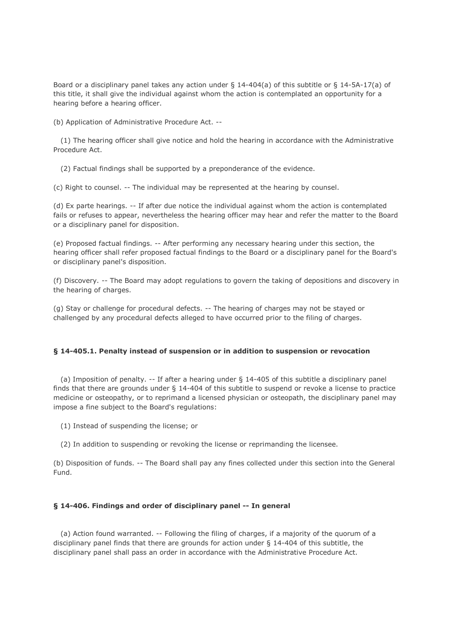Board or a disciplinary panel takes any action under § 14-404(a) of this subtitle or § 14-5A-17(a) of this title, it shall give the individual against whom the action is contemplated an opportunity for a hearing before a hearing officer.

(b) Application of Administrative Procedure Act. --

 (1) The hearing officer shall give notice and hold the hearing in accordance with the Administrative Procedure Act.

(2) Factual findings shall be supported by a preponderance of the evidence.

(c) Right to counsel. -- The individual may be represented at the hearing by counsel.

(d) Ex parte hearings. -- If after due notice the individual against whom the action is contemplated fails or refuses to appear, nevertheless the hearing officer may hear and refer the matter to the Board or a disciplinary panel for disposition.

(e) Proposed factual findings. -- After performing any necessary hearing under this section, the hearing officer shall refer proposed factual findings to the Board or a disciplinary panel for the Board's or disciplinary panel's disposition.

(f) Discovery. -- The Board may adopt regulations to govern the taking of depositions and discovery in the hearing of charges.

(g) Stay or challenge for procedural defects. -- The hearing of charges may not be stayed or challenged by any procedural defects alleged to have occurred prior to the filing of charges.

# **§ 14-405.1. Penalty instead of suspension or in addition to suspension or revocation**

 (a) Imposition of penalty. -- If after a hearing under § 14-405 of this subtitle a disciplinary panel finds that there are grounds under § 14-404 of this subtitle to suspend or revoke a license to practice medicine or osteopathy, or to reprimand a licensed physician or osteopath, the disciplinary panel may impose a fine subject to the Board's regulations:

(1) Instead of suspending the license; or

(2) In addition to suspending or revoking the license or reprimanding the licensee.

(b) Disposition of funds. -- The Board shall pay any fines collected under this section into the General Fund.

# **§ 14-406. Findings and order of disciplinary panel -- In general**

 (a) Action found warranted. -- Following the filing of charges, if a majority of the quorum of a disciplinary panel finds that there are grounds for action under § 14-404 of this subtitle, the disciplinary panel shall pass an order in accordance with the Administrative Procedure Act.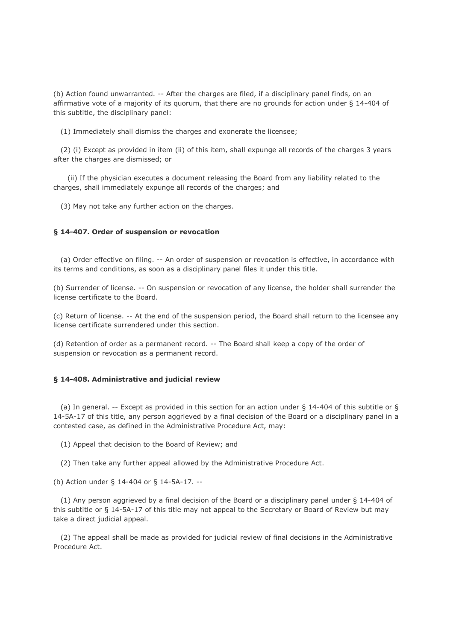(b) Action found unwarranted. -- After the charges are filed, if a disciplinary panel finds, on an affirmative vote of a majority of its quorum, that there are no grounds for action under § 14-404 of this subtitle, the disciplinary panel:

(1) Immediately shall dismiss the charges and exonerate the licensee;

 (2) (i) Except as provided in item (ii) of this item, shall expunge all records of the charges 3 years after the charges are dismissed; or

 (ii) If the physician executes a document releasing the Board from any liability related to the charges, shall immediately expunge all records of the charges; and

(3) May not take any further action on the charges.

#### **§ 14-407. Order of suspension or revocation**

 (a) Order effective on filing. -- An order of suspension or revocation is effective, in accordance with its terms and conditions, as soon as a disciplinary panel files it under this title.

(b) Surrender of license. -- On suspension or revocation of any license, the holder shall surrender the license certificate to the Board.

(c) Return of license. -- At the end of the suspension period, the Board shall return to the licensee any license certificate surrendered under this section.

(d) Retention of order as a permanent record. -- The Board shall keep a copy of the order of suspension or revocation as a permanent record.

### **§ 14-408. Administrative and judicial review**

 (a) In general. -- Except as provided in this section for an action under § 14-404 of this subtitle or § 14-5A-17 of this title, any person aggrieved by a final decision of the Board or a disciplinary panel in a contested case, as defined in the Administrative Procedure Act, may:

(1) Appeal that decision to the Board of Review; and

(2) Then take any further appeal allowed by the Administrative Procedure Act.

(b) Action under § 14-404 or § 14-5A-17. --

 (1) Any person aggrieved by a final decision of the Board or a disciplinary panel under § 14-404 of this subtitle or § 14-5A-17 of this title may not appeal to the Secretary or Board of Review but may take a direct judicial appeal.

 (2) The appeal shall be made as provided for judicial review of final decisions in the Administrative Procedure Act.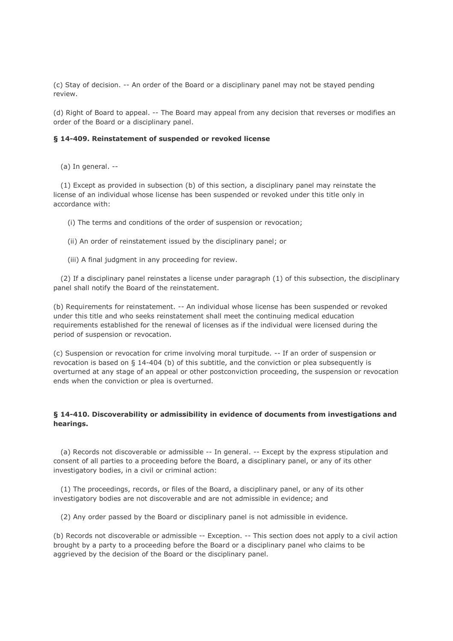(c) Stay of decision. -- An order of the Board or a disciplinary panel may not be stayed pending review.

(d) Right of Board to appeal. -- The Board may appeal from any decision that reverses or modifies an order of the Board or a disciplinary panel.

### **§ 14-409. Reinstatement of suspended or revoked license**

(a) In general. --

 (1) Except as provided in subsection (b) of this section, a disciplinary panel may reinstate the license of an individual whose license has been suspended or revoked under this title only in accordance with:

(i) The terms and conditions of the order of suspension or revocation;

- (ii) An order of reinstatement issued by the disciplinary panel; or
- (iii) A final judgment in any proceeding for review.

 (2) If a disciplinary panel reinstates a license under paragraph (1) of this subsection, the disciplinary panel shall notify the Board of the reinstatement.

(b) Requirements for reinstatement. -- An individual whose license has been suspended or revoked under this title and who seeks reinstatement shall meet the continuing medical education requirements established for the renewal of licenses as if the individual were licensed during the period of suspension or revocation.

(c) Suspension or revocation for crime involving moral turpitude. -- If an order of suspension or revocation is based on § 14-404 (b) of this subtitle, and the conviction or plea subsequently is overturned at any stage of an appeal or other postconviction proceeding, the suspension or revocation ends when the conviction or plea is overturned.

## **§ 14-410. Discoverability or admissibility in evidence of documents from investigations and hearings.**

 (a) Records not discoverable or admissible -- In general. -- Except by the express stipulation and consent of all parties to a proceeding before the Board, a disciplinary panel, or any of its other investigatory bodies, in a civil or criminal action:

 (1) The proceedings, records, or files of the Board, a disciplinary panel, or any of its other investigatory bodies are not discoverable and are not admissible in evidence; and

(2) Any order passed by the Board or disciplinary panel is not admissible in evidence.

(b) Records not discoverable or admissible -- Exception. -- This section does not apply to a civil action brought by a party to a proceeding before the Board or a disciplinary panel who claims to be aggrieved by the decision of the Board or the disciplinary panel.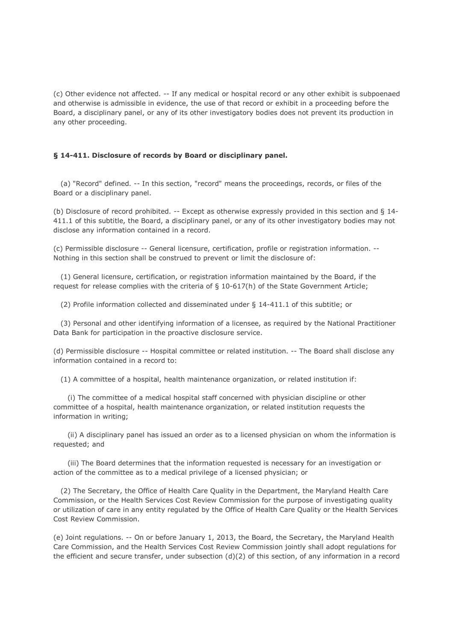(c) Other evidence not affected. -- If any medical or hospital record or any other exhibit is subpoenaed and otherwise is admissible in evidence, the use of that record or exhibit in a proceeding before the Board, a disciplinary panel, or any of its other investigatory bodies does not prevent its production in any other proceeding.

## **§ 14-411. Disclosure of records by Board or disciplinary panel.**

 (a) "Record" defined. -- In this section, "record" means the proceedings, records, or files of the Board or a disciplinary panel.

(b) Disclosure of record prohibited. -- Except as otherwise expressly provided in this section and § 14- 411.1 of this subtitle, the Board, a disciplinary panel, or any of its other investigatory bodies may not disclose any information contained in a record.

(c) Permissible disclosure -- General licensure, certification, profile or registration information. -- Nothing in this section shall be construed to prevent or limit the disclosure of:

 (1) General licensure, certification, or registration information maintained by the Board, if the request for release complies with the criteria of § 10-617(h) of the State Government Article;

(2) Profile information collected and disseminated under § 14-411.1 of this subtitle; or

 (3) Personal and other identifying information of a licensee, as required by the National Practitioner Data Bank for participation in the proactive disclosure service.

(d) Permissible disclosure -- Hospital committee or related institution. -- The Board shall disclose any information contained in a record to:

(1) A committee of a hospital, health maintenance organization, or related institution if:

 (i) The committee of a medical hospital staff concerned with physician discipline or other committee of a hospital, health maintenance organization, or related institution requests the information in writing;

 (ii) A disciplinary panel has issued an order as to a licensed physician on whom the information is requested; and

 (iii) The Board determines that the information requested is necessary for an investigation or action of the committee as to a medical privilege of a licensed physician; or

 (2) The Secretary, the Office of Health Care Quality in the Department, the Maryland Health Care Commission, or the Health Services Cost Review Commission for the purpose of investigating quality or utilization of care in any entity regulated by the Office of Health Care Quality or the Health Services Cost Review Commission.

(e) Joint regulations. -- On or before January 1, 2013, the Board, the Secretary, the Maryland Health Care Commission, and the Health Services Cost Review Commission jointly shall adopt regulations for the efficient and secure transfer, under subsection (d)(2) of this section, of any information in a record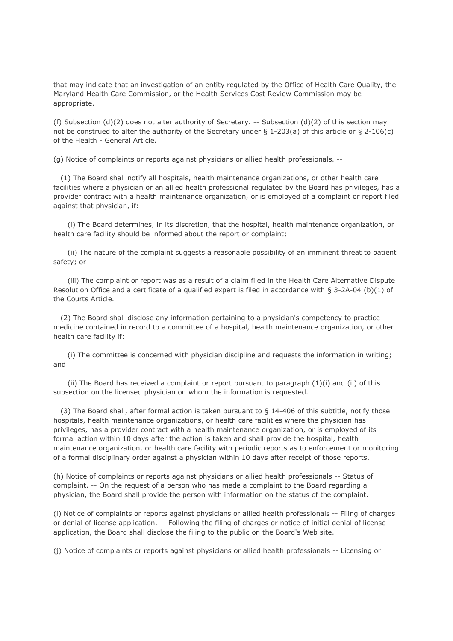that may indicate that an investigation of an entity regulated by the Office of Health Care Quality, the Maryland Health Care Commission, or the Health Services Cost Review Commission may be appropriate.

(f) Subsection  $(d)(2)$  does not alter authority of Secretary. -- Subsection  $(d)(2)$  of this section may not be construed to alter the authority of the Secretary under § 1-203(a) of this article or § 2-106(c) of the Health - General Article.

(g) Notice of complaints or reports against physicians or allied health professionals. --

 (1) The Board shall notify all hospitals, health maintenance organizations, or other health care facilities where a physician or an allied health professional regulated by the Board has privileges, has a provider contract with a health maintenance organization, or is employed of a complaint or report filed against that physician, if:

 (i) The Board determines, in its discretion, that the hospital, health maintenance organization, or health care facility should be informed about the report or complaint;

 (ii) The nature of the complaint suggests a reasonable possibility of an imminent threat to patient safety; or

 (iii) The complaint or report was as a result of a claim filed in the Health Care Alternative Dispute Resolution Office and a certificate of a qualified expert is filed in accordance with § 3-2A-04 (b)(1) of the Courts Article.

 (2) The Board shall disclose any information pertaining to a physician's competency to practice medicine contained in record to a committee of a hospital, health maintenance organization, or other health care facility if:

 (i) The committee is concerned with physician discipline and requests the information in writing; and

(ii) The Board has received a complaint or report pursuant to paragraph  $(1)(i)$  and  $(ii)$  of this subsection on the licensed physician on whom the information is requested.

 (3) The Board shall, after formal action is taken pursuant to § 14-406 of this subtitle, notify those hospitals, health maintenance organizations, or health care facilities where the physician has privileges, has a provider contract with a health maintenance organization, or is employed of its formal action within 10 days after the action is taken and shall provide the hospital, health maintenance organization, or health care facility with periodic reports as to enforcement or monitoring of a formal disciplinary order against a physician within 10 days after receipt of those reports.

(h) Notice of complaints or reports against physicians or allied health professionals -- Status of complaint. -- On the request of a person who has made a complaint to the Board regarding a physician, the Board shall provide the person with information on the status of the complaint.

(i) Notice of complaints or reports against physicians or allied health professionals -- Filing of charges or denial of license application. -- Following the filing of charges or notice of initial denial of license application, the Board shall disclose the filing to the public on the Board's Web site.

(j) Notice of complaints or reports against physicians or allied health professionals -- Licensing or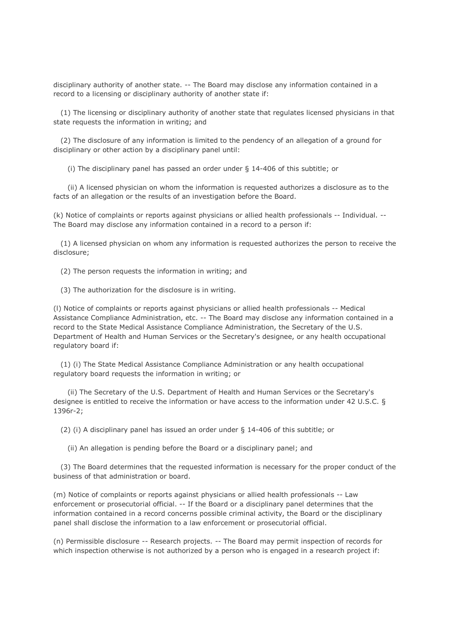disciplinary authority of another state. -- The Board may disclose any information contained in a record to a licensing or disciplinary authority of another state if:

 (1) The licensing or disciplinary authority of another state that regulates licensed physicians in that state requests the information in writing; and

 (2) The disclosure of any information is limited to the pendency of an allegation of a ground for disciplinary or other action by a disciplinary panel until:

(i) The disciplinary panel has passed an order under § 14-406 of this subtitle; or

 (ii) A licensed physician on whom the information is requested authorizes a disclosure as to the facts of an allegation or the results of an investigation before the Board.

(k) Notice of complaints or reports against physicians or allied health professionals -- Individual. -- The Board may disclose any information contained in a record to a person if:

 (1) A licensed physician on whom any information is requested authorizes the person to receive the disclosure;

(2) The person requests the information in writing; and

(3) The authorization for the disclosure is in writing.

(l) Notice of complaints or reports against physicians or allied health professionals -- Medical Assistance Compliance Administration, etc. -- The Board may disclose any information contained in a record to the State Medical Assistance Compliance Administration, the Secretary of the U.S. Department of Health and Human Services or the Secretary's designee, or any health occupational regulatory board if:

 (1) (i) The State Medical Assistance Compliance Administration or any health occupational regulatory board requests the information in writing; or

 (ii) The Secretary of the U.S. Department of Health and Human Services or the Secretary's designee is entitled to receive the information or have access to the information under 42 U.S.C. § 1396r-2;

(2) (i) A disciplinary panel has issued an order under § 14-406 of this subtitle; or

(ii) An allegation is pending before the Board or a disciplinary panel; and

 (3) The Board determines that the requested information is necessary for the proper conduct of the business of that administration or board.

(m) Notice of complaints or reports against physicians or allied health professionals -- Law enforcement or prosecutorial official. -- If the Board or a disciplinary panel determines that the information contained in a record concerns possible criminal activity, the Board or the disciplinary panel shall disclose the information to a law enforcement or prosecutorial official.

(n) Permissible disclosure -- Research projects. -- The Board may permit inspection of records for which inspection otherwise is not authorized by a person who is engaged in a research project if: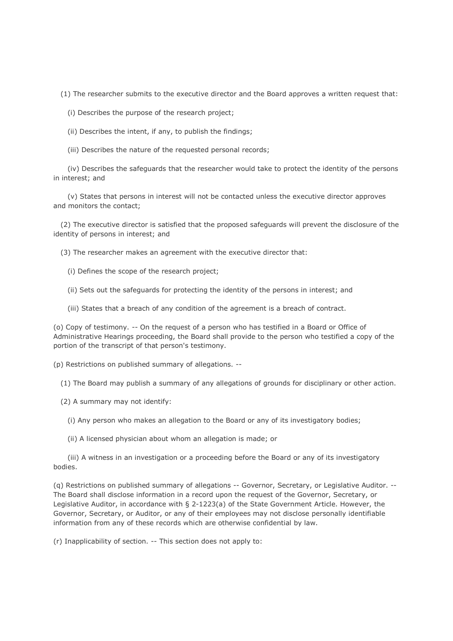(1) The researcher submits to the executive director and the Board approves a written request that:

(i) Describes the purpose of the research project;

- (ii) Describes the intent, if any, to publish the findings;
- (iii) Describes the nature of the requested personal records;

 (iv) Describes the safeguards that the researcher would take to protect the identity of the persons in interest; and

 (v) States that persons in interest will not be contacted unless the executive director approves and monitors the contact;

 (2) The executive director is satisfied that the proposed safeguards will prevent the disclosure of the identity of persons in interest; and

(3) The researcher makes an agreement with the executive director that:

- (i) Defines the scope of the research project;
- (ii) Sets out the safeguards for protecting the identity of the persons in interest; and
- (iii) States that a breach of any condition of the agreement is a breach of contract.

(o) Copy of testimony. -- On the request of a person who has testified in a Board or Office of Administrative Hearings proceeding, the Board shall provide to the person who testified a copy of the portion of the transcript of that person's testimony.

(p) Restrictions on published summary of allegations. --

(1) The Board may publish a summary of any allegations of grounds for disciplinary or other action.

- (2) A summary may not identify:
	- (i) Any person who makes an allegation to the Board or any of its investigatory bodies;
	- (ii) A licensed physician about whom an allegation is made; or

 (iii) A witness in an investigation or a proceeding before the Board or any of its investigatory bodies.

(q) Restrictions on published summary of allegations -- Governor, Secretary, or Legislative Auditor. -- The Board shall disclose information in a record upon the request of the Governor, Secretary, or Legislative Auditor, in accordance with § 2-1223(a) of the State Government Article. However, the Governor, Secretary, or Auditor, or any of their employees may not disclose personally identifiable information from any of these records which are otherwise confidential by law.

(r) Inapplicability of section. -- This section does not apply to: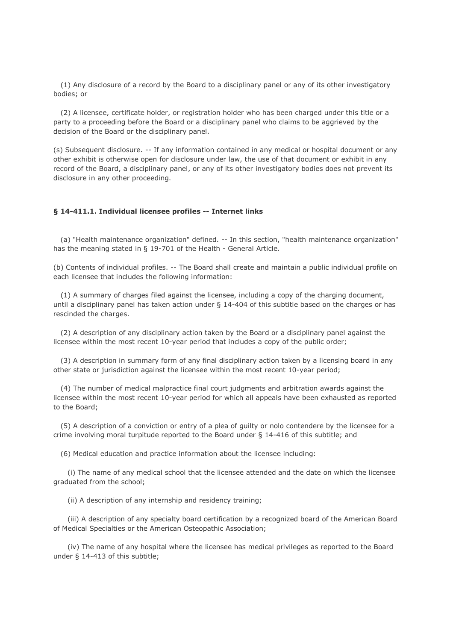(1) Any disclosure of a record by the Board to a disciplinary panel or any of its other investigatory bodies; or

 (2) A licensee, certificate holder, or registration holder who has been charged under this title or a party to a proceeding before the Board or a disciplinary panel who claims to be aggrieved by the decision of the Board or the disciplinary panel.

(s) Subsequent disclosure. -- If any information contained in any medical or hospital document or any other exhibit is otherwise open for disclosure under law, the use of that document or exhibit in any record of the Board, a disciplinary panel, or any of its other investigatory bodies does not prevent its disclosure in any other proceeding.

## **§ 14-411.1. Individual licensee profiles -- Internet links**

 (a) "Health maintenance organization" defined. -- In this section, "health maintenance organization" has the meaning stated in § 19-701 of the Health - General Article.

(b) Contents of individual profiles. -- The Board shall create and maintain a public individual profile on each licensee that includes the following information:

 (1) A summary of charges filed against the licensee, including a copy of the charging document, until a disciplinary panel has taken action under § 14-404 of this subtitle based on the charges or has rescinded the charges.

 (2) A description of any disciplinary action taken by the Board or a disciplinary panel against the licensee within the most recent 10-year period that includes a copy of the public order;

 (3) A description in summary form of any final disciplinary action taken by a licensing board in any other state or jurisdiction against the licensee within the most recent 10-year period;

 (4) The number of medical malpractice final court judgments and arbitration awards against the licensee within the most recent 10-year period for which all appeals have been exhausted as reported to the Board;

 (5) A description of a conviction or entry of a plea of guilty or nolo contendere by the licensee for a crime involving moral turpitude reported to the Board under § 14-416 of this subtitle; and

(6) Medical education and practice information about the licensee including:

 (i) The name of any medical school that the licensee attended and the date on which the licensee graduated from the school;

(ii) A description of any internship and residency training;

 (iii) A description of any specialty board certification by a recognized board of the American Board of Medical Specialties or the American Osteopathic Association;

 (iv) The name of any hospital where the licensee has medical privileges as reported to the Board under § 14-413 of this subtitle;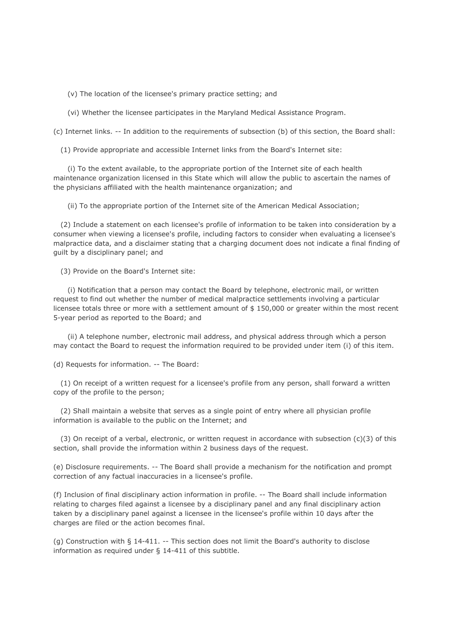(v) The location of the licensee's primary practice setting; and

(vi) Whether the licensee participates in the Maryland Medical Assistance Program.

(c) Internet links. -- In addition to the requirements of subsection (b) of this section, the Board shall:

(1) Provide appropriate and accessible Internet links from the Board's Internet site:

 (i) To the extent available, to the appropriate portion of the Internet site of each health maintenance organization licensed in this State which will allow the public to ascertain the names of the physicians affiliated with the health maintenance organization; and

(ii) To the appropriate portion of the Internet site of the American Medical Association;

 (2) Include a statement on each licensee's profile of information to be taken into consideration by a consumer when viewing a licensee's profile, including factors to consider when evaluating a licensee's malpractice data, and a disclaimer stating that a charging document does not indicate a final finding of guilt by a disciplinary panel; and

(3) Provide on the Board's Internet site:

 (i) Notification that a person may contact the Board by telephone, electronic mail, or written request to find out whether the number of medical malpractice settlements involving a particular licensee totals three or more with a settlement amount of \$ 150,000 or greater within the most recent 5-year period as reported to the Board; and

 (ii) A telephone number, electronic mail address, and physical address through which a person may contact the Board to request the information required to be provided under item (i) of this item.

(d) Requests for information. -- The Board:

 (1) On receipt of a written request for a licensee's profile from any person, shall forward a written copy of the profile to the person;

 (2) Shall maintain a website that serves as a single point of entry where all physician profile information is available to the public on the Internet; and

(3) On receipt of a verbal, electronic, or written request in accordance with subsection  $(c)(3)$  of this section, shall provide the information within 2 business days of the request.

(e) Disclosure requirements. -- The Board shall provide a mechanism for the notification and prompt correction of any factual inaccuracies in a licensee's profile.

(f) Inclusion of final disciplinary action information in profile. -- The Board shall include information relating to charges filed against a licensee by a disciplinary panel and any final disciplinary action taken by a disciplinary panel against a licensee in the licensee's profile within 10 days after the charges are filed or the action becomes final.

(g) Construction with § 14-411. -- This section does not limit the Board's authority to disclose information as required under § 14-411 of this subtitle.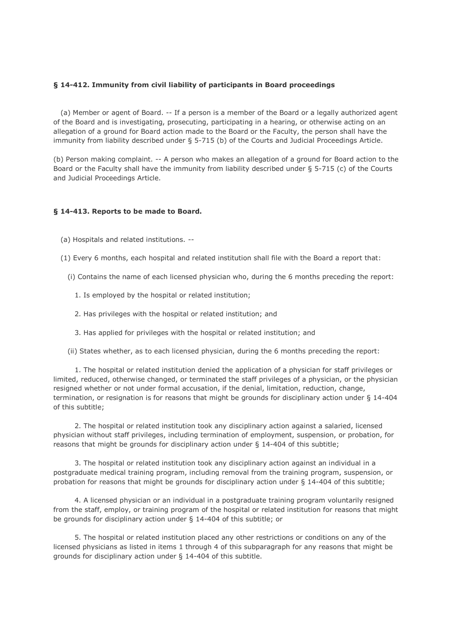## **§ 14-412. Immunity from civil liability of participants in Board proceedings**

 (a) Member or agent of Board. -- If a person is a member of the Board or a legally authorized agent of the Board and is investigating, prosecuting, participating in a hearing, or otherwise acting on an allegation of a ground for Board action made to the Board or the Faculty, the person shall have the immunity from liability described under § 5-715 (b) of the Courts and Judicial Proceedings Article.

(b) Person making complaint. -- A person who makes an allegation of a ground for Board action to the Board or the Faculty shall have the immunity from liability described under § 5-715 (c) of the Courts and Judicial Proceedings Article.

## **§ 14-413. Reports to be made to Board.**

- (a) Hospitals and related institutions. --
- (1) Every 6 months, each hospital and related institution shall file with the Board a report that:
	- (i) Contains the name of each licensed physician who, during the 6 months preceding the report:
		- 1. Is employed by the hospital or related institution;
		- 2. Has privileges with the hospital or related institution; and
		- 3. Has applied for privileges with the hospital or related institution; and
	- (ii) States whether, as to each licensed physician, during the 6 months preceding the report:

 1. The hospital or related institution denied the application of a physician for staff privileges or limited, reduced, otherwise changed, or terminated the staff privileges of a physician, or the physician resigned whether or not under formal accusation, if the denial, limitation, reduction, change, termination, or resignation is for reasons that might be grounds for disciplinary action under § 14-404 of this subtitle;

 2. The hospital or related institution took any disciplinary action against a salaried, licensed physician without staff privileges, including termination of employment, suspension, or probation, for reasons that might be grounds for disciplinary action under § 14-404 of this subtitle;

 3. The hospital or related institution took any disciplinary action against an individual in a postgraduate medical training program, including removal from the training program, suspension, or probation for reasons that might be grounds for disciplinary action under § 14-404 of this subtitle;

 4. A licensed physician or an individual in a postgraduate training program voluntarily resigned from the staff, employ, or training program of the hospital or related institution for reasons that might be grounds for disciplinary action under § 14-404 of this subtitle; or

 5. The hospital or related institution placed any other restrictions or conditions on any of the licensed physicians as listed in items 1 through 4 of this subparagraph for any reasons that might be grounds for disciplinary action under § 14-404 of this subtitle.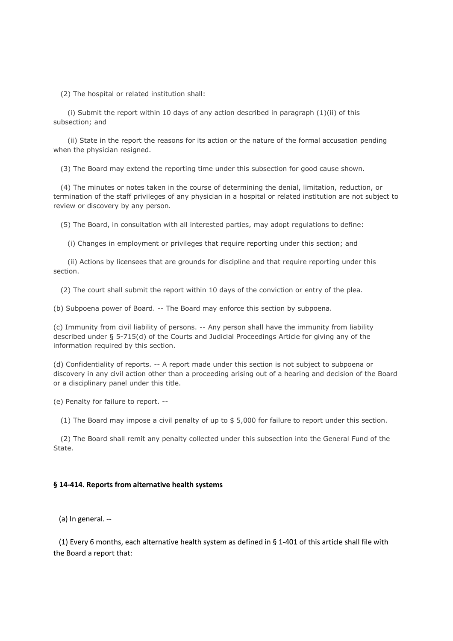(2) The hospital or related institution shall:

 (i) Submit the report within 10 days of any action described in paragraph (1)(ii) of this subsection; and

 (ii) State in the report the reasons for its action or the nature of the formal accusation pending when the physician resigned.

(3) The Board may extend the reporting time under this subsection for good cause shown.

 (4) The minutes or notes taken in the course of determining the denial, limitation, reduction, or termination of the staff privileges of any physician in a hospital or related institution are not subject to review or discovery by any person.

(5) The Board, in consultation with all interested parties, may adopt regulations to define:

(i) Changes in employment or privileges that require reporting under this section; and

 (ii) Actions by licensees that are grounds for discipline and that require reporting under this section.

(2) The court shall submit the report within 10 days of the conviction or entry of the plea.

(b) Subpoena power of Board. -- The Board may enforce this section by subpoena.

(c) Immunity from civil liability of persons. -- Any person shall have the immunity from liability described under § 5-715(d) of the Courts and Judicial Proceedings Article for giving any of the information required by this section.

(d) Confidentiality of reports. -- A report made under this section is not subject to subpoena or discovery in any civil action other than a proceeding arising out of a hearing and decision of the Board or a disciplinary panel under this title.

(e) Penalty for failure to report. --

(1) The Board may impose a civil penalty of up to \$ 5,000 for failure to report under this section.

 (2) The Board shall remit any penalty collected under this subsection into the General Fund of the State.

#### **§ 14-414. Reports from alternative health systems**

(a) In general. --

 (1) Every 6 months, each alternative health system as defined in § 1-401 of this article shall file with the Board a report that: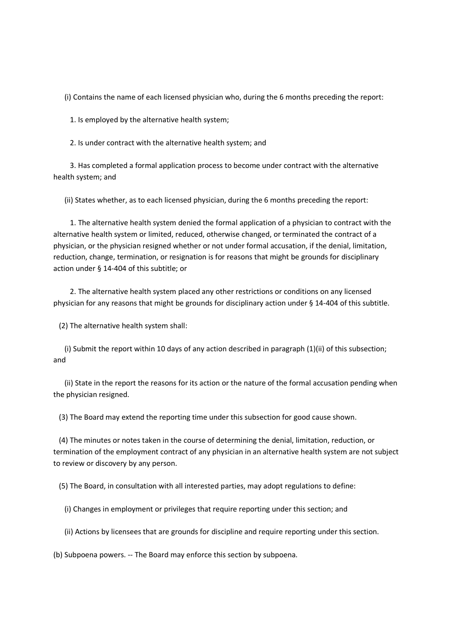(i) Contains the name of each licensed physician who, during the 6 months preceding the report:

1. Is employed by the alternative health system;

2. Is under contract with the alternative health system; and

 3. Has completed a formal application process to become under contract with the alternative health system; and

(ii) States whether, as to each licensed physician, during the 6 months preceding the report:

 1. The alternative health system denied the formal application of a physician to contract with the alternative health system or limited, reduced, otherwise changed, or terminated the contract of a physician, or the physician resigned whether or not under formal accusation, if the denial, limitation, reduction, change, termination, or resignation is for reasons that might be grounds for disciplinary action under § 14-404 of this subtitle; or

 2. The alternative health system placed any other restrictions or conditions on any licensed physician for any reasons that might be grounds for disciplinary action under § 14-404 of this subtitle.

(2) The alternative health system shall:

 (i) Submit the report within 10 days of any action described in paragraph (1)(ii) of this subsection; and

 (ii) State in the report the reasons for its action or the nature of the formal accusation pending when the physician resigned.

(3) The Board may extend the reporting time under this subsection for good cause shown.

 (4) The minutes or notes taken in the course of determining the denial, limitation, reduction, or termination of the employment contract of any physician in an alternative health system are not subject to review or discovery by any person.

(5) The Board, in consultation with all interested parties, may adopt regulations to define:

(i) Changes in employment or privileges that require reporting under this section; and

(ii) Actions by licensees that are grounds for discipline and require reporting under this section.

(b) Subpoena powers. -- The Board may enforce this section by subpoena.